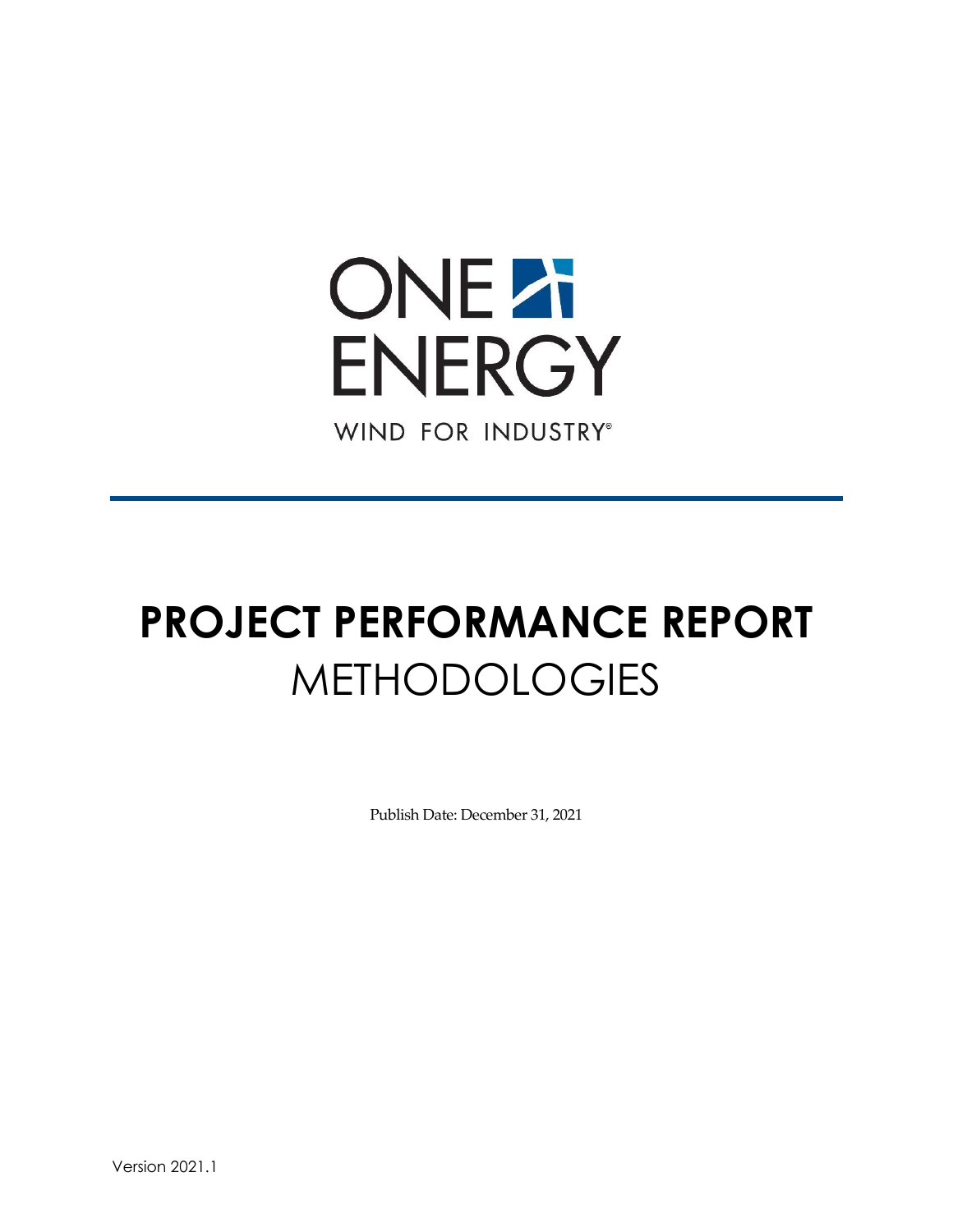

# **PROJECT PERFORMANCE REPORT** METHODOLOGIES

Publish Date: December 31, 2021

Version 2021.1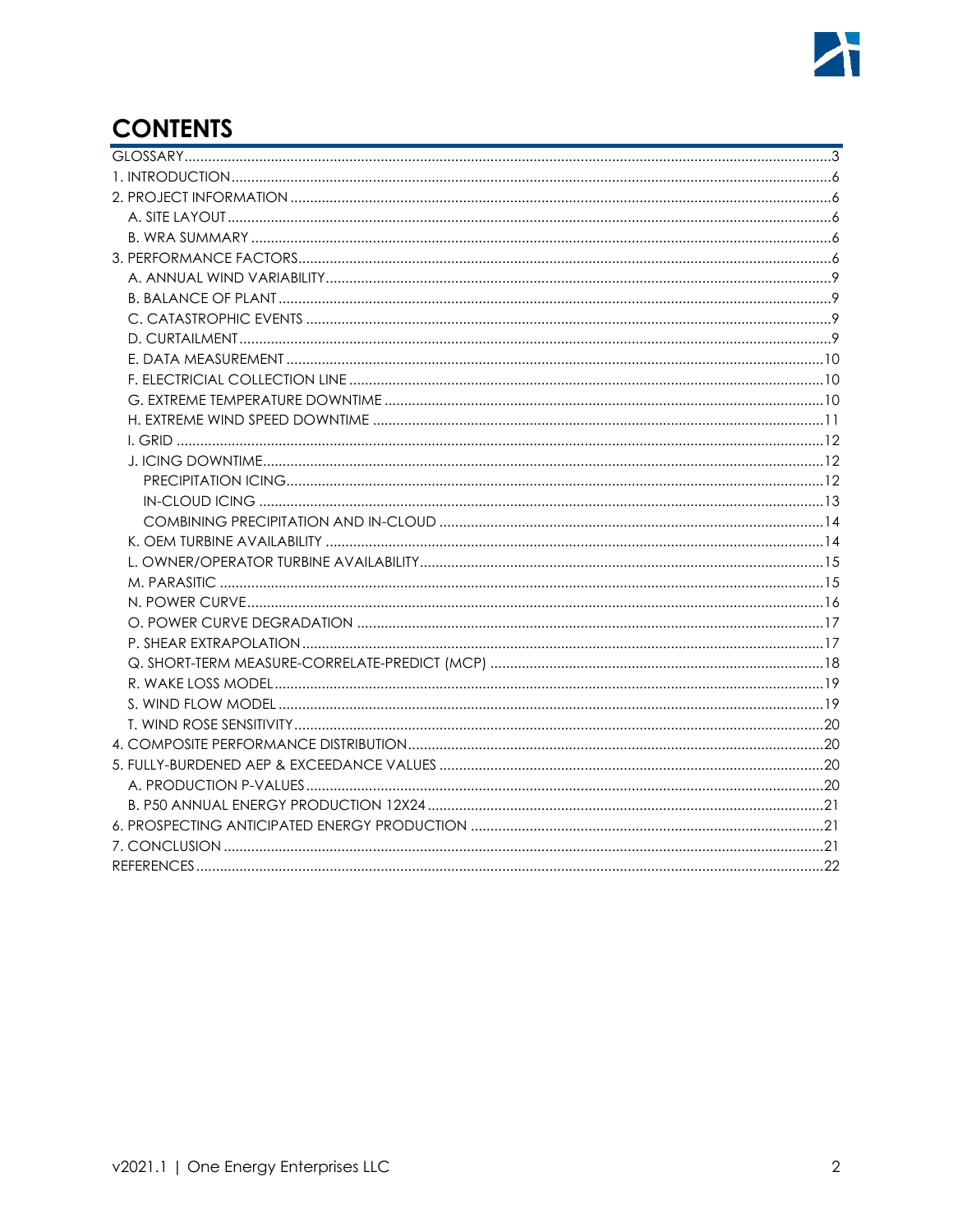# **CONTENTS**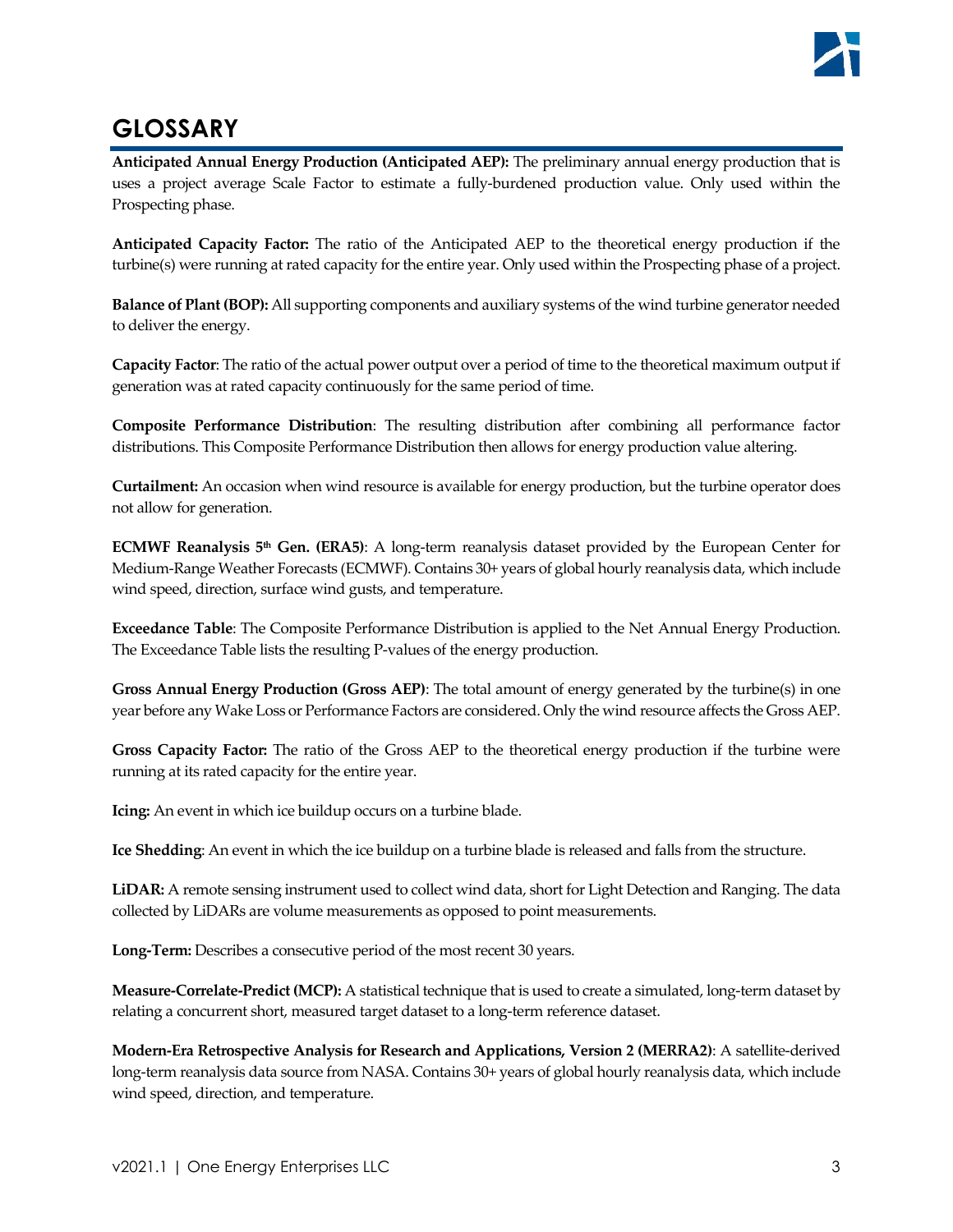# <span id="page-2-0"></span>**GLOSSARY**

**Anticipated Annual Energy Production (Anticipated AEP):** The preliminary annual energy production that is uses a project average Scale Factor to estimate a fully-burdened production value. Only used within the Prospecting phase.

**Anticipated Capacity Factor:** The ratio of the Anticipated AEP to the theoretical energy production if the turbine(s) were running at rated capacity for the entire year. Only used within the Prospecting phase of a project.

**Balance of Plant (BOP):** All supporting components and auxiliary systems of the wind turbine generator needed to deliver the energy.

**Capacity Factor**: The ratio of the actual power output over a period of time to the theoretical maximum output if generation was at rated capacity continuously for the same period of time.

**Composite Performance Distribution**: The resulting distribution after combining all performance factor distributions. This Composite Performance Distribution then allows for energy production value altering.

**Curtailment:** An occasion when wind resource is available for energy production, but the turbine operator does not allow for generation.

**ECMWF Reanalysis 5th Gen. (ERA5)**: A long-term reanalysis dataset provided by the European Center for Medium-Range Weather Forecasts (ECMWF). Contains 30+ years of global hourly reanalysis data, which include wind speed, direction, surface wind gusts, and temperature.

**Exceedance Table**: The Composite Performance Distribution is applied to the Net Annual Energy Production. The Exceedance Table lists the resulting P-values of the energy production.

**Gross Annual Energy Production (Gross AEP)**: The total amount of energy generated by the turbine(s) in one year before any Wake Loss or Performance Factors are considered. Only the wind resource affects the Gross AEP.

**Gross Capacity Factor:** The ratio of the Gross AEP to the theoretical energy production if the turbine were running at its rated capacity for the entire year.

**Icing:** An event in which ice buildup occurs on a turbine blade.

**Ice Shedding**: An event in which the ice buildup on a turbine blade is released and falls from the structure.

**LiDAR:** A remote sensing instrument used to collect wind data, short for Light Detection and Ranging. The data collected by LiDARs are volume measurements as opposed to point measurements.

Long-Term: Describes a consecutive period of the most recent 30 years.

**Measure-Correlate-Predict (MCP):** A statistical technique that is used to create a simulated, long-term dataset by relating a concurrent short, measured target dataset to a long-term reference dataset.

**Modern-Era Retrospective Analysis for Research and Applications, Version 2 (MERRA2)**: A satellite-derived long-term reanalysis data source from NASA. Contains 30+ years of global hourly reanalysis data, which include wind speed, direction, and temperature.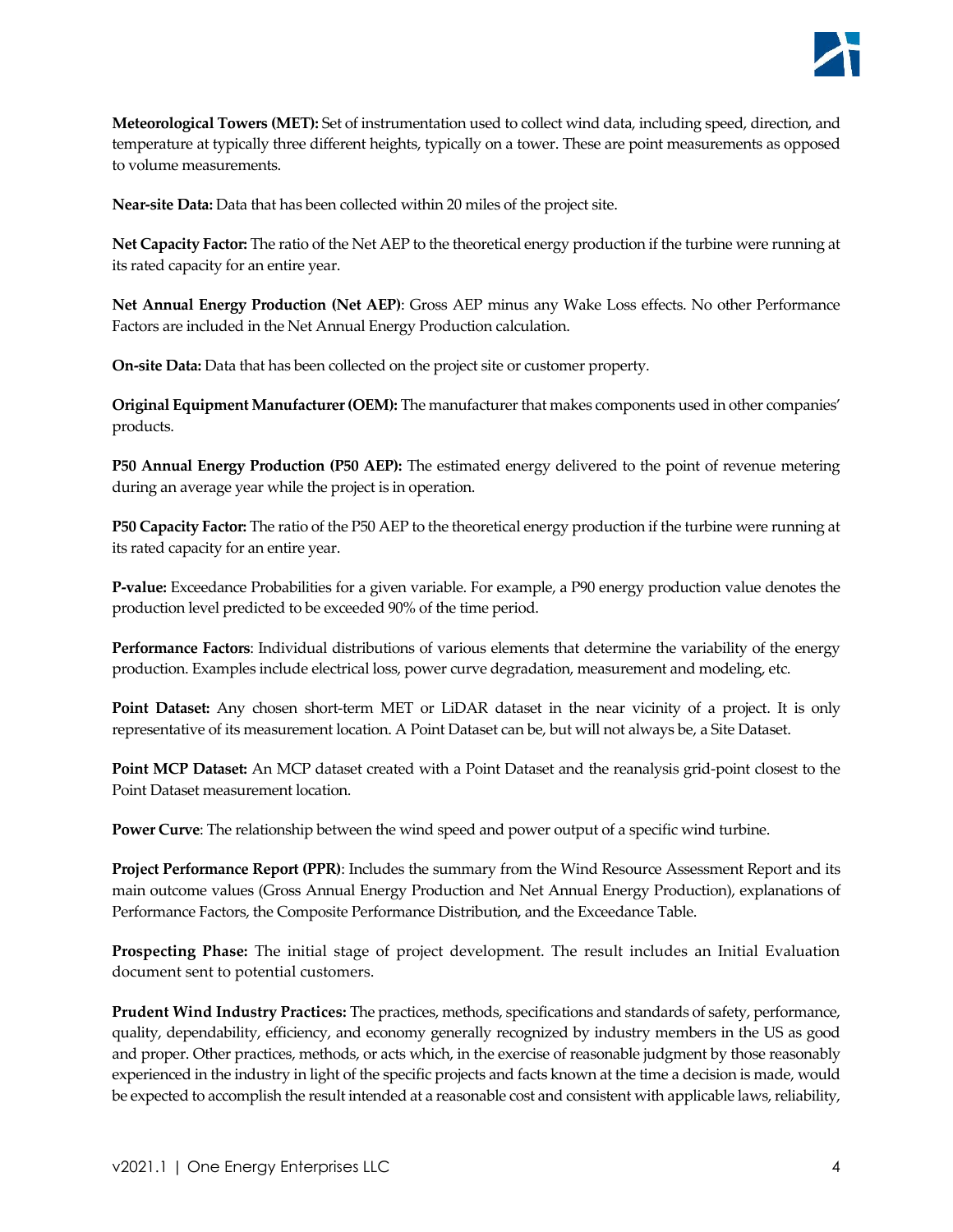**Meteorological Towers (MET):** Set of instrumentation used to collect wind data, including speed, direction, and temperature at typically three different heights, typically on a tower. These are point measurements as opposed to volume measurements.

**Near-site Data:** Data that has been collected within 20 miles of the project site.

**Net Capacity Factor:** The ratio of the Net AEP to the theoretical energy production if the turbine were running at its rated capacity for an entire year.

**Net Annual Energy Production (Net AEP)**: Gross AEP minus any Wake Loss effects. No other Performance Factors are included in the Net Annual Energy Production calculation.

**On-site Data:** Data that has been collected on the project site or customer property.

**Original Equipment Manufacturer (OEM):** The manufacturer that makes components used in other companies' products.

**P50 Annual Energy Production (P50 AEP):** The estimated energy delivered to the point of revenue metering during an average year while the project is in operation.

**P50 Capacity Factor:** The ratio of the P50 AEP to the theoretical energy production if the turbine were running at its rated capacity for an entire year.

**P-value:** Exceedance Probabilities for a given variable. For example, a P90 energy production value denotes the production level predicted to be exceeded 90% of the time period.

**Performance Factors**: Individual distributions of various elements that determine the variability of the energy production. Examples include electrical loss, power curve degradation, measurement and modeling, etc.

**Point Dataset:** Any chosen short-term MET or LiDAR dataset in the near vicinity of a project. It is only representative of its measurement location. A Point Dataset can be, but will not always be, a Site Dataset.

**Point MCP Dataset:** An MCP dataset created with a Point Dataset and the reanalysis grid-point closest to the Point Dataset measurement location.

**Power Curve**: The relationship between the wind speed and power output of a specific wind turbine.

**Project Performance Report (PPR)**: Includes the summary from the Wind Resource Assessment Report and its main outcome values (Gross Annual Energy Production and Net Annual Energy Production), explanations of Performance Factors, the Composite Performance Distribution, and the Exceedance Table.

**Prospecting Phase:** The initial stage of project development. The result includes an Initial Evaluation document sent to potential customers.

**Prudent Wind Industry Practices:** The practices, methods, specifications and standards of safety, performance, quality, dependability, efficiency, and economy generally recognized by industry members in the US as good and proper. Other practices, methods, or acts which, in the exercise of reasonable judgment by those reasonably experienced in the industry in light of the specific projects and facts known at the time a decision is made, would be expected to accomplish the result intended at a reasonable cost and consistent with applicable laws, reliability,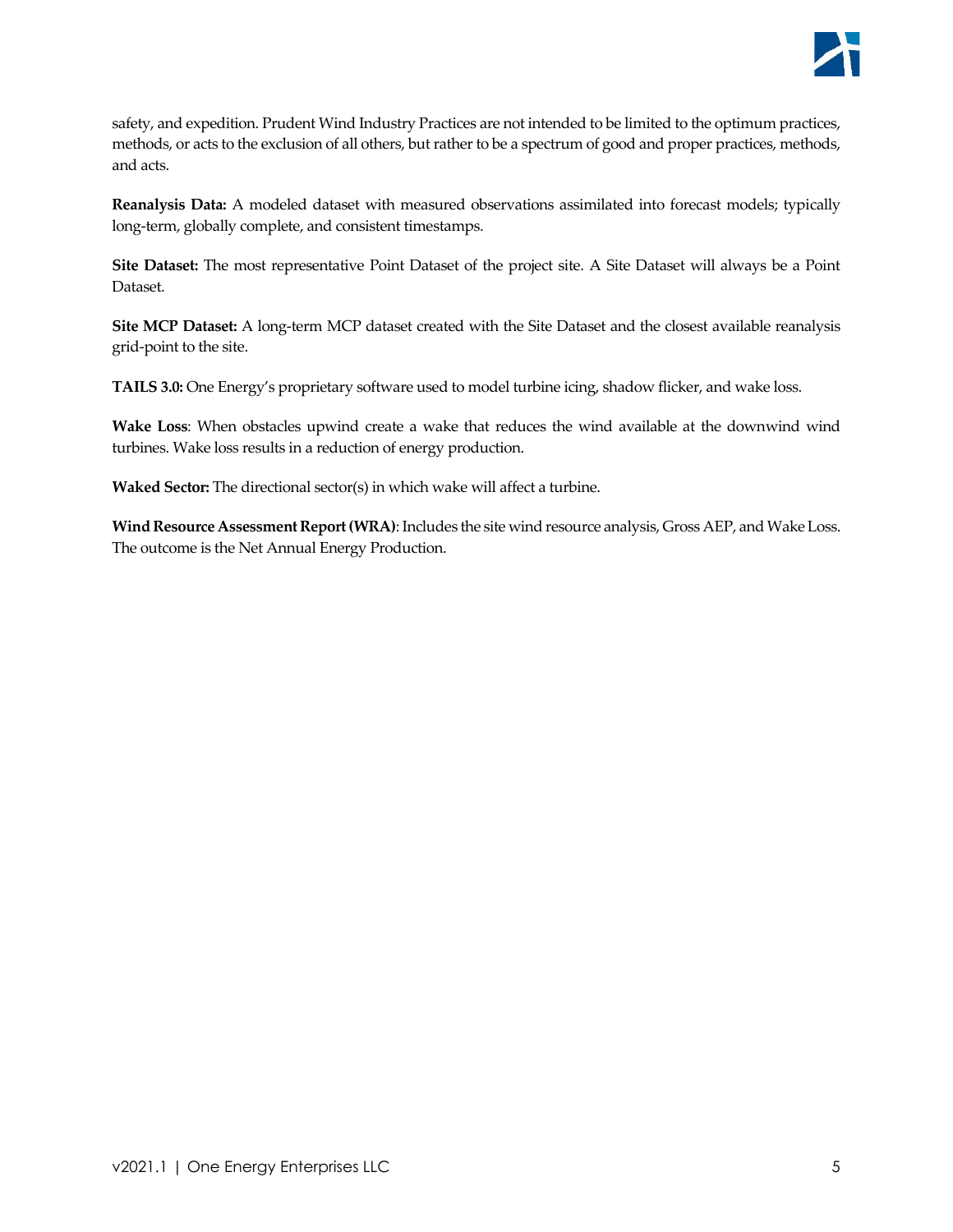

safety, and expedition. Prudent Wind Industry Practices are not intended to be limited to the optimum practices, methods, or acts to the exclusion of all others, but rather to be a spectrum of good and proper practices, methods, and acts.

**Reanalysis Data:** A modeled dataset with measured observations assimilated into forecast models; typically long-term, globally complete, and consistent timestamps.

**Site Dataset:** The most representative Point Dataset of the project site. A Site Dataset will always be a Point Dataset.

**Site MCP Dataset:** A long-term MCP dataset created with the Site Dataset and the closest available reanalysis grid-point to the site.

**TAILS 3.0:** One Energy's proprietary software used to model turbine icing, shadow flicker, and wake loss.

**Wake Loss**: When obstacles upwind create a wake that reduces the wind available at the downwind wind turbines. Wake loss results in a reduction of energy production.

**Waked Sector:** The directional sector(s) in which wake will affect a turbine.

**Wind Resource Assessment Report (WRA)**: Includes the site wind resource analysis, Gross AEP, and Wake Loss. The outcome is the Net Annual Energy Production.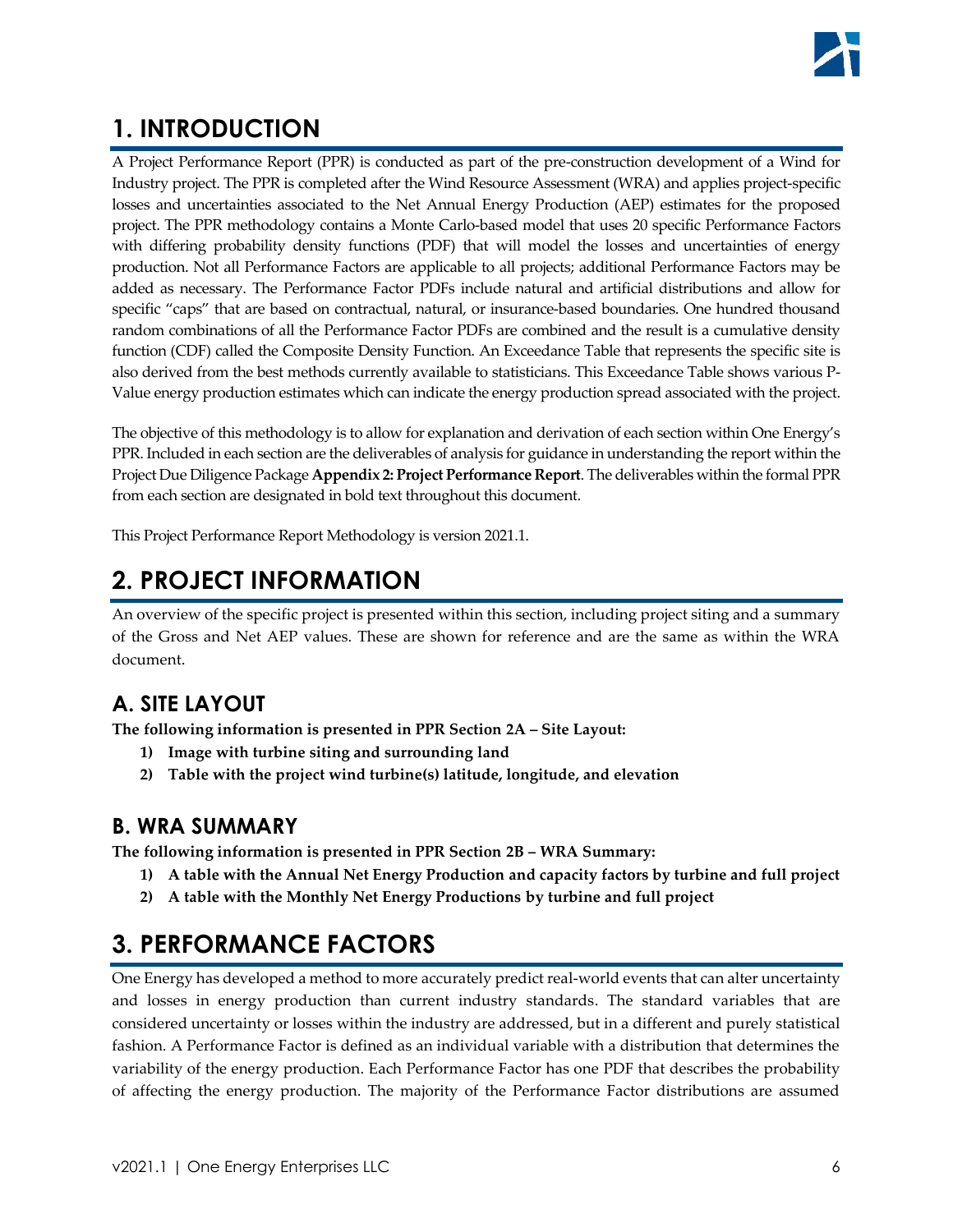# <span id="page-5-0"></span>**1. INTRODUCTION**

A Project Performance Report (PPR) is conducted as part of the pre-construction development of a Wind for Industry project. The PPR is completed after the Wind Resource Assessment (WRA) and applies project-specific losses and uncertainties associated to the Net Annual Energy Production (AEP) estimates for the proposed project. The PPR methodology contains a Monte Carlo-based model that uses 20 specific Performance Factors with differing probability density functions (PDF) that will model the losses and uncertainties of energy production. Not all Performance Factors are applicable to all projects; additional Performance Factors may be added as necessary. The Performance Factor PDFs include natural and artificial distributions and allow for specific "caps" that are based on contractual, natural, or insurance-based boundaries. One hundred thousand random combinations of all the Performance Factor PDFs are combined and the result is a cumulative density function (CDF) called the Composite Density Function. An Exceedance Table that represents the specific site is also derived from the best methods currently available to statisticians. This Exceedance Table shows various P-Value energy production estimates which can indicate the energy production spread associated with the project.

The objective of this methodology is to allow for explanation and derivation of each section within One Energy's PPR. Included in each section are the deliverables of analysis for guidance in understanding the report within the Project Due Diligence Package **Appendix 2: Project Performance Report**. The deliverables within the formal PPR from each section are designated in bold text throughout this document.

This Project Performance Report Methodology is version 2021.1.

# <span id="page-5-1"></span>**2. PROJECT INFORMATION**

An overview of the specific project is presented within this section, including project siting and a summary of the Gross and Net AEP values. These are shown for reference and are the same as within the WRA document.

# <span id="page-5-2"></span>**A. SITE LAYOUT**

**The following information is presented in PPR Section 2A – Site Layout:**

- **1) Image with turbine siting and surrounding land**
- **2) Table with the project wind turbine(s) latitude, longitude, and elevation**

### <span id="page-5-3"></span>**B. WRA SUMMARY**

**The following information is presented in PPR Section 2B – WRA Summary:**

- **1) A table with the Annual Net Energy Production and capacity factors by turbine and full project**
- **2) A table with the Monthly Net Energy Productions by turbine and full project**

# <span id="page-5-4"></span>**3. PERFORMANCE FACTORS**

One Energy has developed a method to more accurately predict real-world events that can alter uncertainty and losses in energy production than current industry standards. The standard variables that are considered uncertainty or losses within the industry are addressed, but in a different and purely statistical fashion. A Performance Factor is defined as an individual variable with a distribution that determines the variability of the energy production. Each Performance Factor has one PDF that describes the probability of affecting the energy production. The majority of the Performance Factor distributions are assumed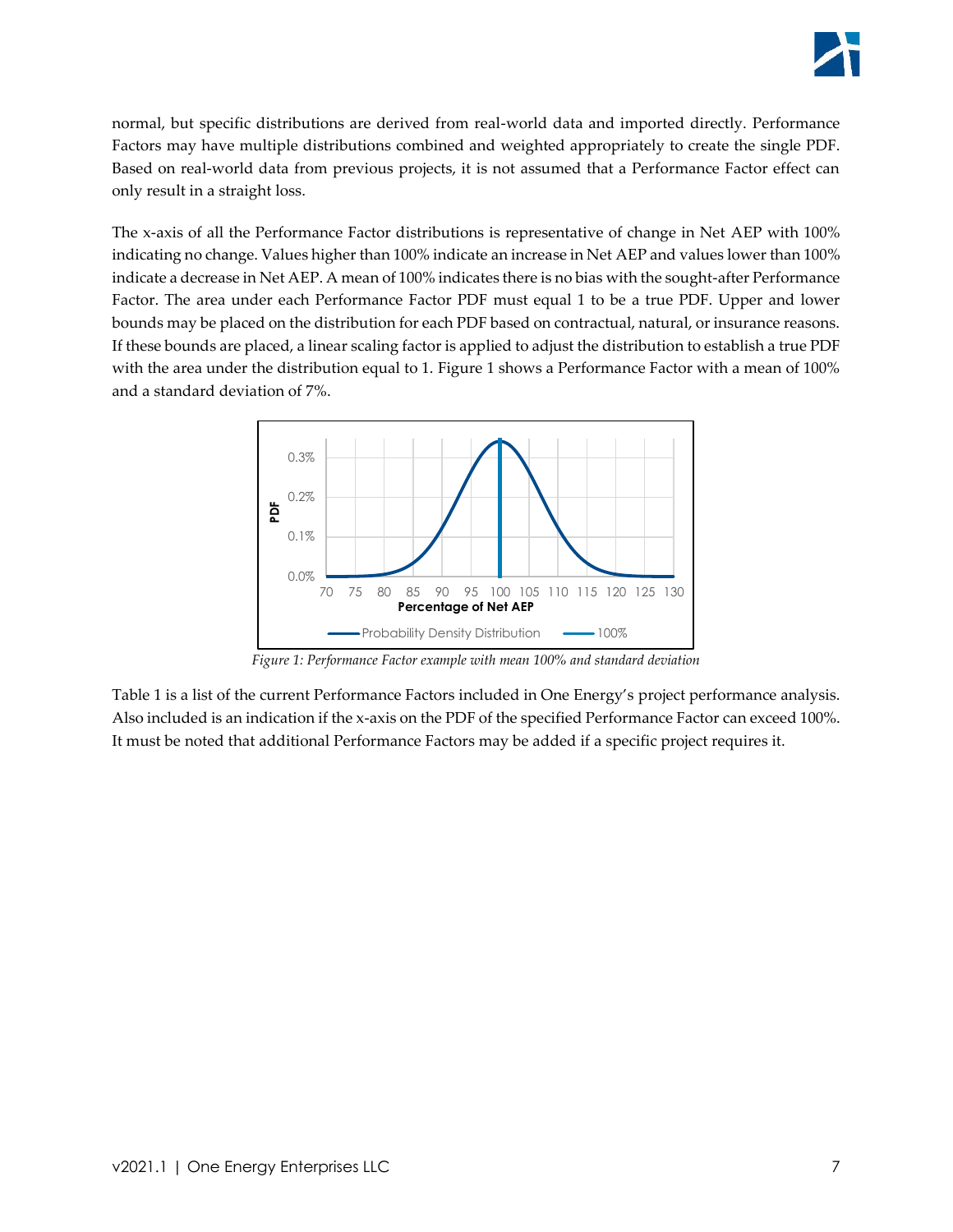normal, but specific distributions are derived from real-world data and imported directly. Performance Factors may have multiple distributions combined and weighted appropriately to create the single PDF. Based on real-world data from previous projects, it is not assumed that a Performance Factor effect can only result in a straight loss.

The x-axis of all the Performance Factor distributions is representative of change in Net AEP with 100% indicating no change. Values higher than 100% indicate an increase in Net AEP and values lower than 100% indicate a decrease in Net AEP. A mean of 100% indicates there is no bias with the sought-after Performance Factor. The area under each Performance Factor PDF must equal 1 to be a true PDF. Upper and lower bounds may be placed on the distribution for each PDF based on contractual, natural, or insurance reasons. If these bounds are placed, a linear scaling factor is applied to adjust the distribution to establish a true PDF with the area under the distribution equal to 1. [Figure 1](#page-6-0) shows a Performance Factor with a mean of 100% and a standard deviation of 7%.



*Figure 1: Performance Factor example with mean 100% and standard deviation*

<span id="page-6-0"></span>[Table 1](#page-7-0) is a list of the current Performance Factors included in One Energy's project performance analysis. Also included is an indication if the x-axis on the PDF of the specified Performance Factor can exceed 100%. It must be noted that additional Performance Factors may be added if a specific project requires it.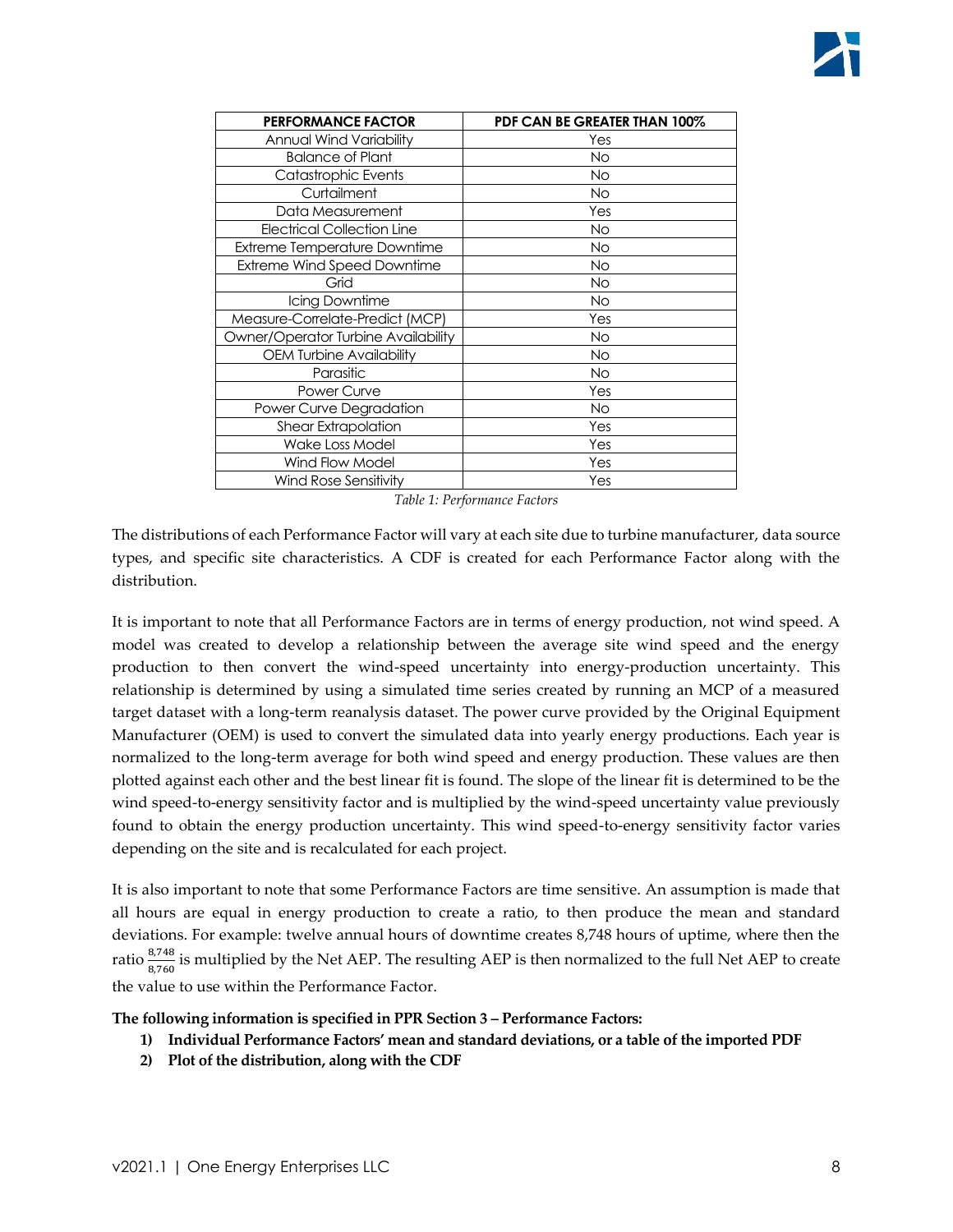| <b>PERFORMANCE FACTOR</b>           | PDF CAN BE GREATER THAN 100% |
|-------------------------------------|------------------------------|
| Annual Wind Variability             | Yes                          |
| <b>Balance of Plant</b>             | <b>No</b>                    |
| Catastrophic Events                 | <b>No</b>                    |
| Curtailment                         | <b>No</b>                    |
| Data Measurement                    | Yes                          |
| <b>Electrical Collection Line</b>   | <b>No</b>                    |
| <b>Extreme Temperature Downtime</b> | <b>No</b>                    |
| <b>Extreme Wind Speed Downtime</b>  | <b>No</b>                    |
| Grid                                | <b>No</b>                    |
| Icing Downtime                      | <b>No</b>                    |
| Measure-Correlate-Predict (MCP)     | Yes                          |
| Owner/Operator Turbine Availability | <b>No</b>                    |
| <b>OEM Turbine Availability</b>     | <b>No</b>                    |
| Parasitic                           | <b>No</b>                    |
| Power Curve                         | Yes                          |
| Power Curve Degradation             | <b>No</b>                    |
| <b>Shear Extrapolation</b>          | Yes                          |
| Wake Loss Model                     | Yes                          |
| Wind Flow Model                     | Yes                          |
| <b>Wind Rose Sensitivity</b>        | Yes                          |

*Table 1: Performance Factors*

<span id="page-7-0"></span>The distributions of each Performance Factor will vary at each site due to turbine manufacturer, data source types, and specific site characteristics. A CDF is created for each Performance Factor along with the distribution.

It is important to note that all Performance Factors are in terms of energy production, not wind speed. A model was created to develop a relationship between the average site wind speed and the energy production to then convert the wind-speed uncertainty into energy-production uncertainty. This relationship is determined by using a simulated time series created by running an MCP of a measured target dataset with a long-term reanalysis dataset. The power curve provided by the Original Equipment Manufacturer (OEM) is used to convert the simulated data into yearly energy productions. Each year is normalized to the long-term average for both wind speed and energy production. These values are then plotted against each other and the best linear fit is found. The slope of the linear fit is determined to be the wind speed-to-energy sensitivity factor and is multiplied by the wind-speed uncertainty value previously found to obtain the energy production uncertainty. This wind speed-to-energy sensitivity factor varies depending on the site and is recalculated for each project.

It is also important to note that some Performance Factors are time sensitive. An assumption is made that all hours are equal in energy production to create a ratio, to then produce the mean and standard deviations. For example: twelve annual hours of downtime creates 8,748 hours of uptime, where then the ratio  $\frac{8,748}{8,760}$  is multiplied by the Net AEP. The resulting AEP is then normalized to the full Net AEP to create the value to use within the Performance Factor.

#### **The following information is specified in PPR Section 3 – Performance Factors:**

- **1) Individual Performance Factors' mean and standard deviations, or a table of the imported PDF**
- **2) Plot of the distribution, along with the CDF**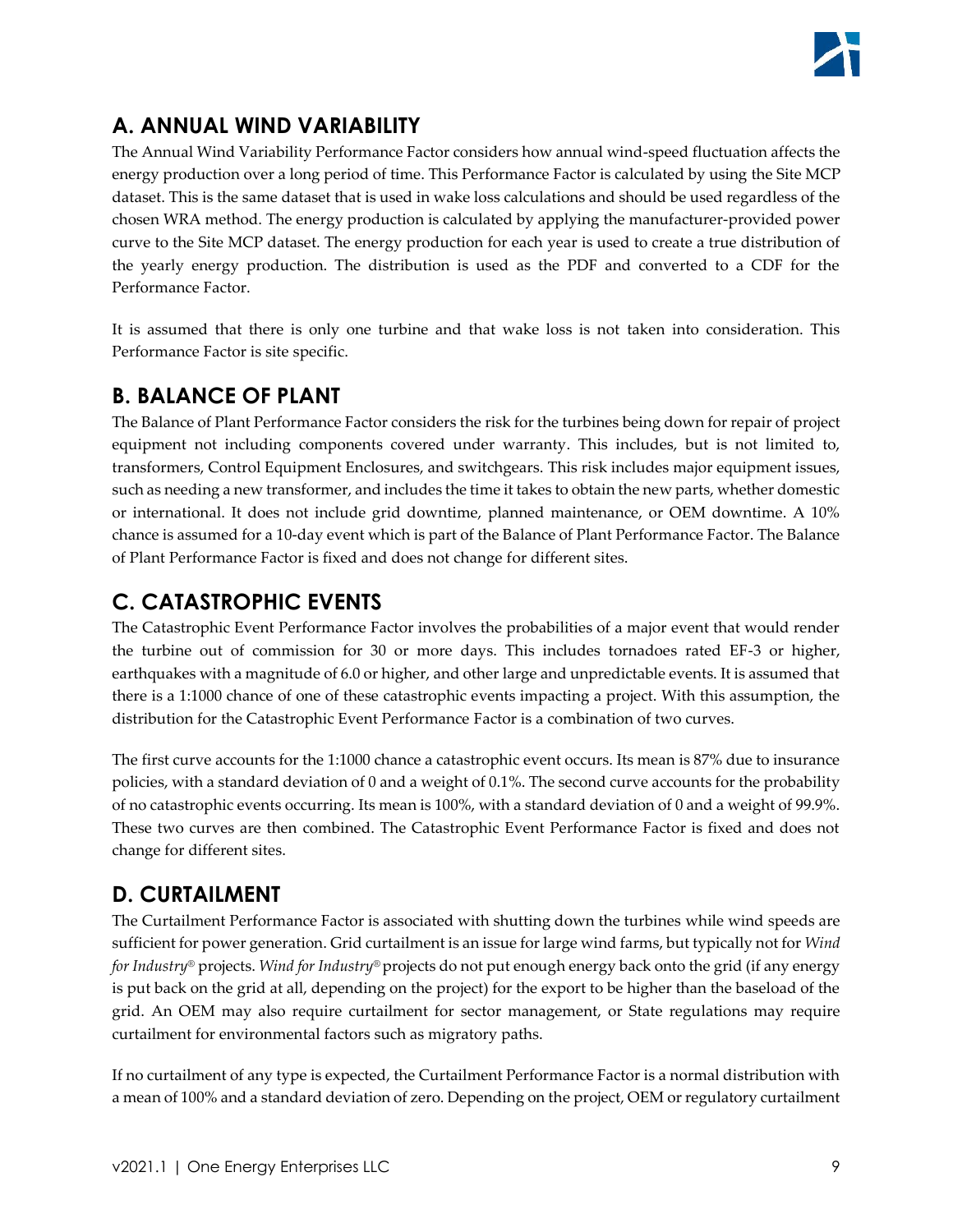# <span id="page-8-0"></span>**A. ANNUAL WIND VARIABILITY**

The Annual Wind Variability Performance Factor considers how annual wind-speed fluctuation affects the energy production over a long period of time. This Performance Factor is calculated by using the Site MCP dataset. This is the same dataset that is used in wake loss calculations and should be used regardless of the chosen WRA method. The energy production is calculated by applying the manufacturer-provided power curve to the Site MCP dataset. The energy production for each year is used to create a true distribution of the yearly energy production. The distribution is used as the PDF and converted to a CDF for the Performance Factor.

It is assumed that there is only one turbine and that wake loss is not taken into consideration. This Performance Factor is site specific.

### <span id="page-8-1"></span>**B. BALANCE OF PLANT**

The Balance of Plant Performance Factor considers the risk for the turbines being down for repair of project equipment not including components covered under warranty. This includes, but is not limited to, transformers, Control Equipment Enclosures, and switchgears. This risk includes major equipment issues, such as needing a new transformer, and includes the time it takes to obtain the new parts, whether domestic or international. It does not include grid downtime, planned maintenance, or OEM downtime. A 10% chance is assumed for a 10-day event which is part of the Balance of Plant Performance Factor. The Balance of Plant Performance Factor is fixed and does not change for different sites.

### <span id="page-8-2"></span>**C. CATASTROPHIC EVENTS**

The Catastrophic Event Performance Factor involves the probabilities of a major event that would render the turbine out of commission for 30 or more days. This includes tornadoes rated EF-3 or higher, earthquakes with a magnitude of 6.0 or higher, and other large and unpredictable events. It is assumed that there is a 1:1000 chance of one of these catastrophic events impacting a project. With this assumption, the distribution for the Catastrophic Event Performance Factor is a combination of two curves.

The first curve accounts for the 1:1000 chance a catastrophic event occurs. Its mean is 87% due to insurance policies, with a standard deviation of 0 and a weight of 0.1%. The second curve accounts for the probability of no catastrophic events occurring. Its mean is 100%, with a standard deviation of 0 and a weight of 99.9%. These two curves are then combined. The Catastrophic Event Performance Factor is fixed and does not change for different sites.

# <span id="page-8-3"></span>**D. CURTAILMENT**

The Curtailment Performance Factor is associated with shutting down the turbines while wind speeds are sufficient for power generation. Grid curtailment is an issue for large wind farms, but typically not for *Wind for Industry®* projects. *Wind for Industry®* projects do not put enough energy back onto the grid (if any energy is put back on the grid at all, depending on the project) for the export to be higher than the baseload of the grid. An OEM may also require curtailment for sector management, or State regulations may require curtailment for environmental factors such as migratory paths.

If no curtailment of any type is expected, the Curtailment Performance Factor is a normal distribution with a mean of 100% and a standard deviation of zero. Depending on the project, OEM or regulatory curtailment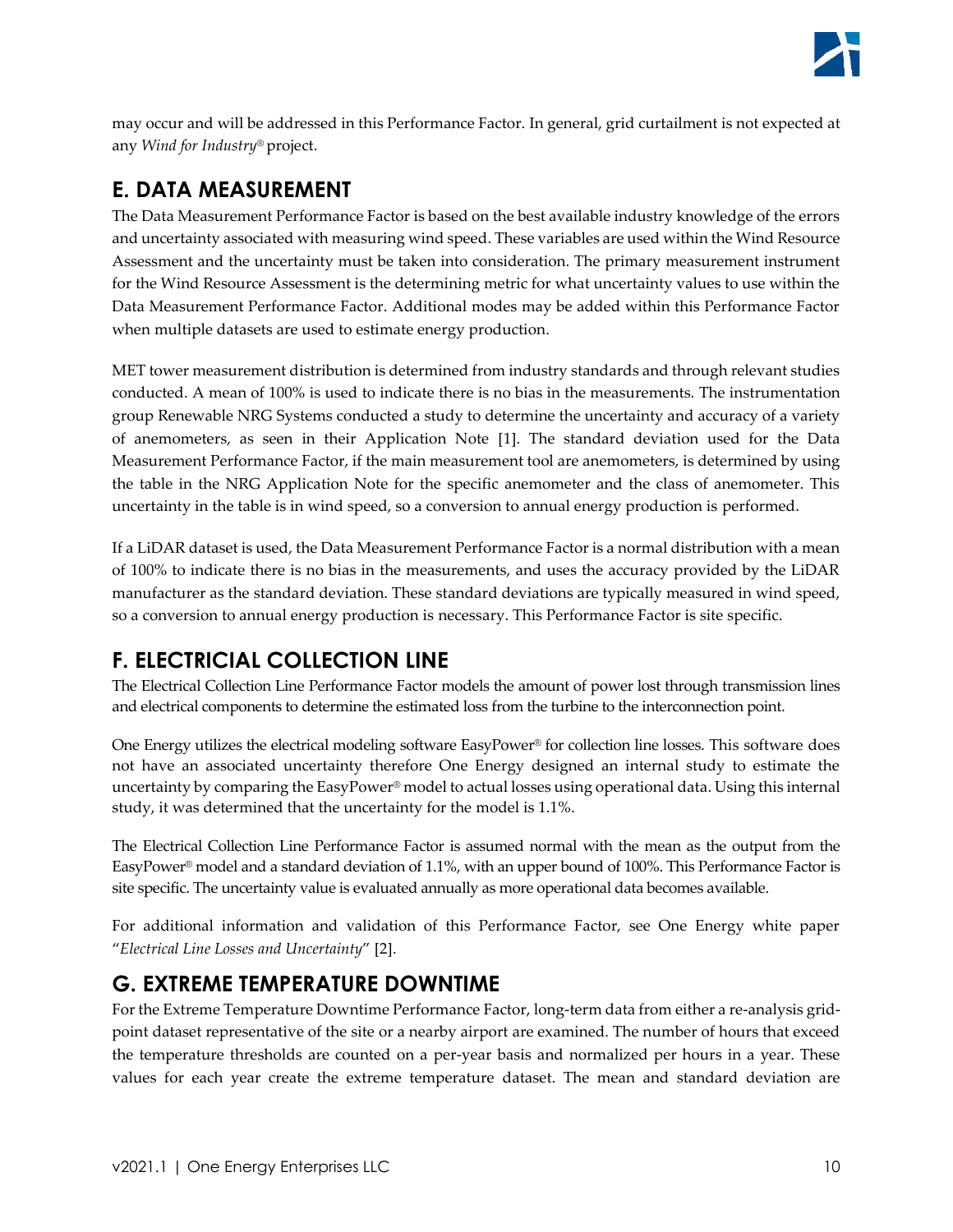may occur and will be addressed in this Performance Factor. In general, grid curtailment is not expected at any *Wind for Industry®* project.

## <span id="page-9-0"></span>**E. DATA MEASUREMENT**

The Data Measurement Performance Factor is based on the best available industry knowledge of the errors and uncertainty associated with measuring wind speed. These variables are used within the Wind Resource Assessment and the uncertainty must be taken into consideration. The primary measurement instrument for the Wind Resource Assessment is the determining metric for what uncertainty values to use within the Data Measurement Performance Factor. Additional modes may be added within this Performance Factor when multiple datasets are used to estimate energy production.

MET tower measurement distribution is determined from industry standards and through relevant studies conducted. A mean of 100% is used to indicate there is no bias in the measurements. The instrumentation group Renewable NRG Systems conducted a study to determine the uncertainty and accuracy of a variety of anemometers, as seen in their Application Note [1]. The standard deviation used for the Data Measurement Performance Factor, if the main measurement tool are anemometers, is determined by using the table in the NRG Application Note for the specific anemometer and the class of anemometer. This uncertainty in the table is in wind speed, so a conversion to annual energy production is performed.

If a LiDAR dataset is used, the Data Measurement Performance Factor is a normal distribution with a mean of 100% to indicate there is no bias in the measurements, and uses the accuracy provided by the LiDAR manufacturer as the standard deviation. These standard deviations are typically measured in wind speed, so a conversion to annual energy production is necessary. This Performance Factor is site specific.

# <span id="page-9-1"></span>**F. ELECTRICIAL COLLECTION LINE**

The Electrical Collection Line Performance Factor models the amount of power lost through transmission lines and electrical components to determine the estimated loss from the turbine to the interconnection point.

One Energy utilizes the electrical modeling software EasyPower® for collection line losses. This software does not have an associated uncertainty therefore One Energy designed an internal study to estimate the uncertainty by comparing the EasyPower® model to actual losses using operational data. Using this internal study, it was determined that the uncertainty for the model is 1.1%.

The Electrical Collection Line Performance Factor is assumed normal with the mean as the output from the EasyPower® model and a standard deviation of 1.1%, with an upper bound of 100%. This Performance Factor is site specific. The uncertainty value is evaluated annually as more operational data becomes available.

For additional information and validation of this Performance Factor, see One Energy white paper "*Electrical Line Losses and Uncertainty*" [2].

# <span id="page-9-2"></span>**G. EXTREME TEMPERATURE DOWNTIME**

For the Extreme Temperature Downtime Performance Factor, long-term data from either a re-analysis gridpoint dataset representative of the site or a nearby airport are examined. The number of hours that exceed the temperature thresholds are counted on a per-year basis and normalized per hours in a year. These values for each year create the extreme temperature dataset. The mean and standard deviation are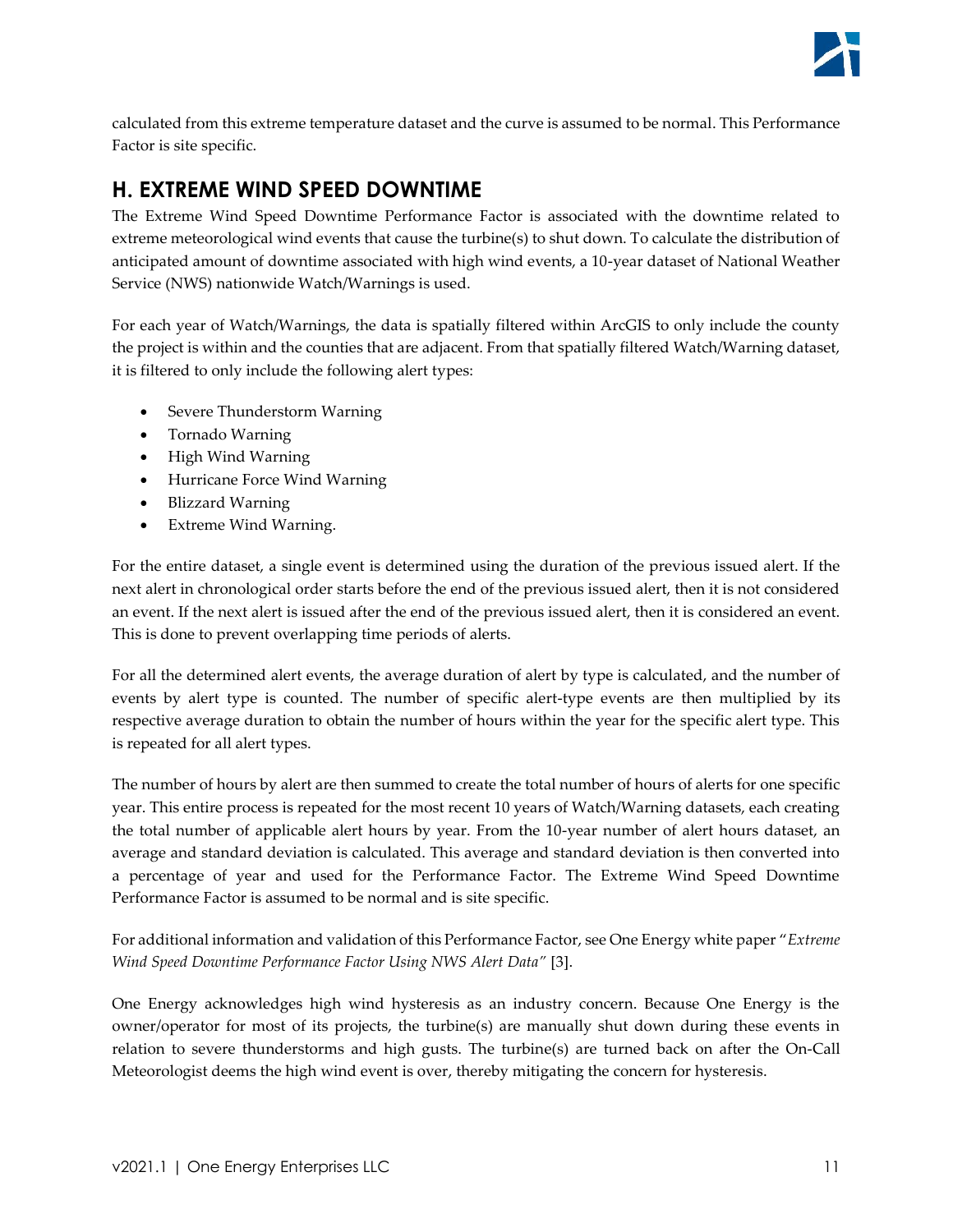

calculated from this extreme temperature dataset and the curve is assumed to be normal. This Performance Factor is site specific.

### <span id="page-10-0"></span>**H. EXTREME WIND SPEED DOWNTIME**

The Extreme Wind Speed Downtime Performance Factor is associated with the downtime related to extreme meteorological wind events that cause the turbine(s) to shut down. To calculate the distribution of anticipated amount of downtime associated with high wind events, a 10-year dataset of National Weather Service (NWS) nationwide Watch/Warnings is used.

For each year of Watch/Warnings, the data is spatially filtered within ArcGIS to only include the county the project is within and the counties that are adjacent. From that spatially filtered Watch/Warning dataset, it is filtered to only include the following alert types:

- Severe Thunderstorm Warning
- Tornado Warning
- High Wind Warning
- Hurricane Force Wind Warning
- Blizzard Warning
- Extreme Wind Warning.

For the entire dataset, a single event is determined using the duration of the previous issued alert. If the next alert in chronological order starts before the end of the previous issued alert, then it is not considered an event. If the next alert is issued after the end of the previous issued alert, then it is considered an event. This is done to prevent overlapping time periods of alerts.

For all the determined alert events, the average duration of alert by type is calculated, and the number of events by alert type is counted. The number of specific alert-type events are then multiplied by its respective average duration to obtain the number of hours within the year for the specific alert type. This is repeated for all alert types.

The number of hours by alert are then summed to create the total number of hours of alerts for one specific year. This entire process is repeated for the most recent 10 years of Watch/Warning datasets, each creating the total number of applicable alert hours by year. From the 10-year number of alert hours dataset, an average and standard deviation is calculated. This average and standard deviation is then converted into a percentage of year and used for the Performance Factor. The Extreme Wind Speed Downtime Performance Factor is assumed to be normal and is site specific.

For additional information and validation of this Performance Factor, see One Energy white paper "*Extreme Wind Speed Downtime Performance Factor Using NWS Alert Data"* [3].

One Energy acknowledges high wind hysteresis as an industry concern. Because One Energy is the owner/operator for most of its projects, the turbine(s) are manually shut down during these events in relation to severe thunderstorms and high gusts. The turbine(s) are turned back on after the On-Call Meteorologist deems the high wind event is over, thereby mitigating the concern for hysteresis.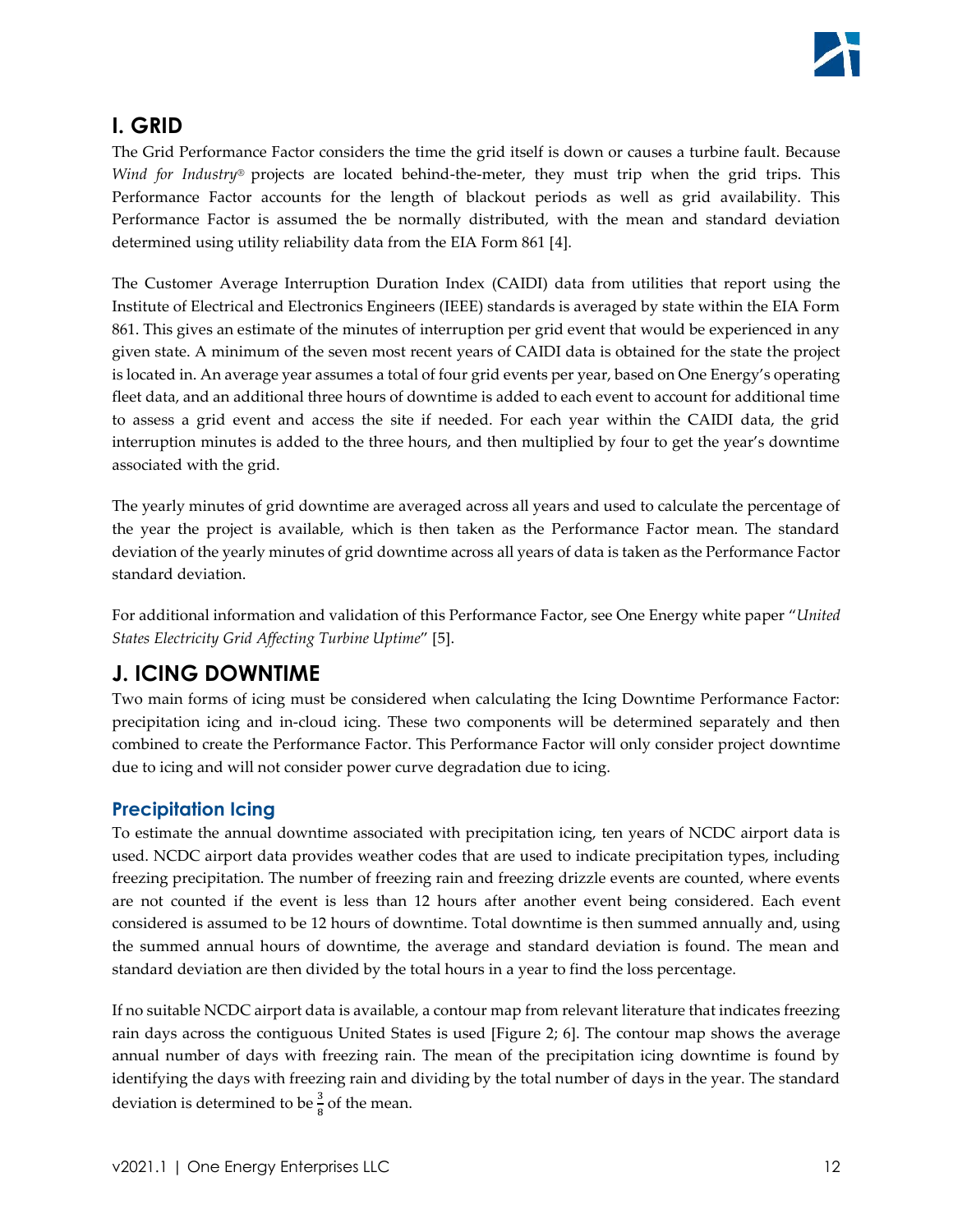# <span id="page-11-0"></span>**I. GRID**

The Grid Performance Factor considers the time the grid itself is down or causes a turbine fault. Because *Wind for Industry®* projects are located behind-the-meter, they must trip when the grid trips. This Performance Factor accounts for the length of blackout periods as well as grid availability. This Performance Factor is assumed the be normally distributed, with the mean and standard deviation determined using utility reliability data from the EIA Form 861 [4].

The Customer Average Interruption Duration Index (CAIDI) data from utilities that report using the Institute of Electrical and Electronics Engineers (IEEE) standards is averaged by state within the EIA Form 861. This gives an estimate of the minutes of interruption per grid event that would be experienced in any given state. A minimum of the seven most recent years of CAIDI data is obtained for the state the project is located in. An average year assumes a total of four grid events per year, based on One Energy's operating fleet data, and an additional three hours of downtime is added to each event to account for additional time to assess a grid event and access the site if needed. For each year within the CAIDI data, the grid interruption minutes is added to the three hours, and then multiplied by four to get the year's downtime associated with the grid.

The yearly minutes of grid downtime are averaged across all years and used to calculate the percentage of the year the project is available, which is then taken as the Performance Factor mean. The standard deviation of the yearly minutes of grid downtime across all years of data is taken as the Performance Factor standard deviation.

For additional information and validation of this Performance Factor, see One Energy white paper "*United States Electricity Grid Affecting Turbine Uptime*" [5].

# <span id="page-11-1"></span>**J. ICING DOWNTIME**

Two main forms of icing must be considered when calculating the Icing Downtime Performance Factor: precipitation icing and in-cloud icing. These two components will be determined separately and then combined to create the Performance Factor. This Performance Factor will only consider project downtime due to icing and will not consider power curve degradation due to icing.

### <span id="page-11-2"></span>**Precipitation Icing**

To estimate the annual downtime associated with precipitation icing, ten years of NCDC airport data is used. NCDC airport data provides weather codes that are used to indicate precipitation types, including freezing precipitation. The number of freezing rain and freezing drizzle events are counted, where events are not counted if the event is less than 12 hours after another event being considered. Each event considered is assumed to be 12 hours of downtime. Total downtime is then summed annually and, using the summed annual hours of downtime, the average and standard deviation is found. The mean and standard deviation are then divided by the total hours in a year to find the loss percentage.

If no suitable NCDC airport data is available, a contour map from relevant literature that indicates freezing rain days across the contiguous United States is used [\[Figure 2;](#page-12-1) 6]. The contour map shows the average annual number of days with freezing rain. The mean of the precipitation icing downtime is found by identifying the days with freezing rain and dividing by the total number of days in the year. The standard deviation is determined to be  $\frac{3}{8}$  of the mean.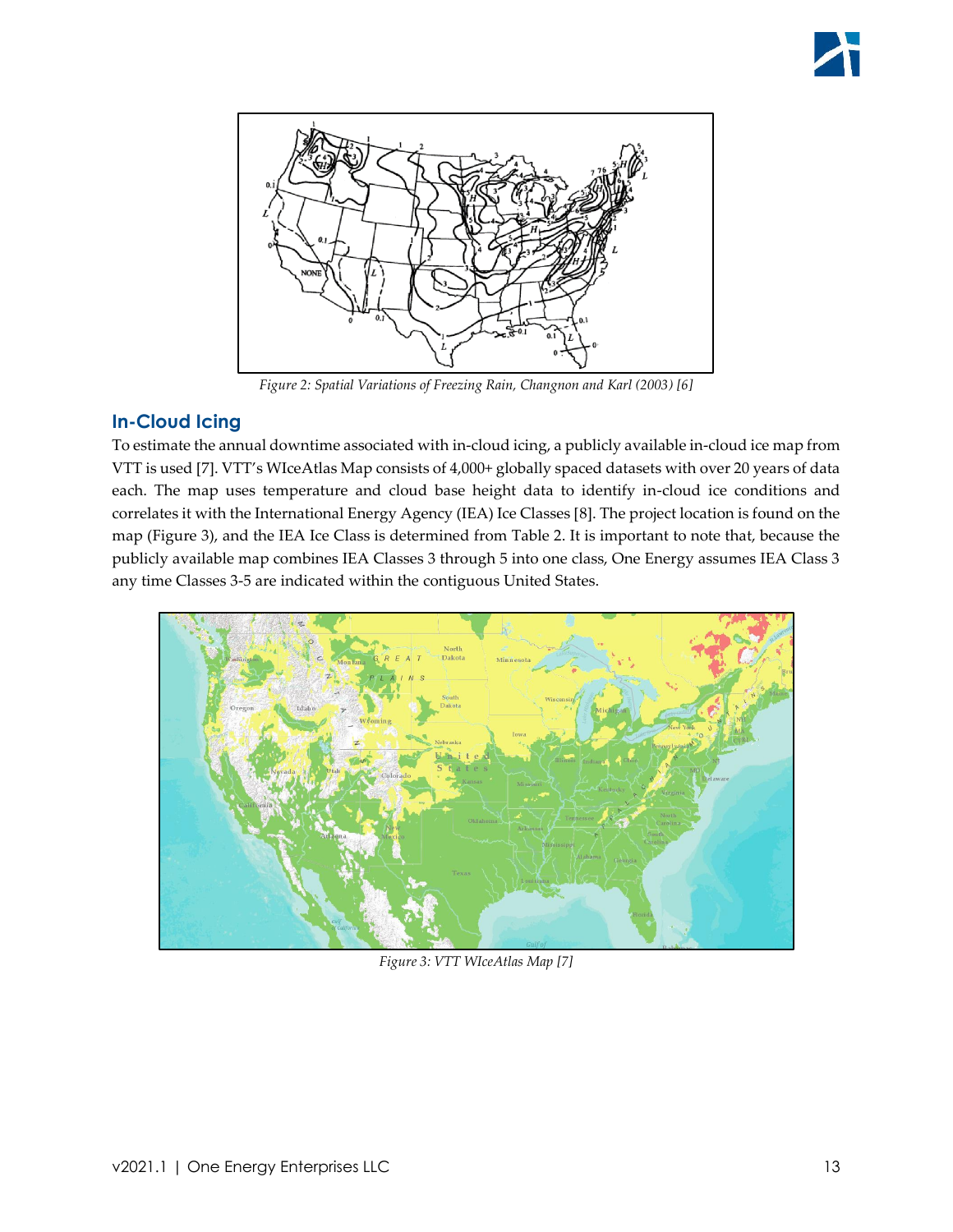

*Figure 2: Spatial Variations of Freezing Rain, Changnon and Karl (2003) [6]*

### <span id="page-12-1"></span><span id="page-12-0"></span>**In-Cloud Icing**

To estimate the annual downtime associated with in-cloud icing, a publicly available in-cloud ice map from VTT is used [7]. VTT's WIceAtlas Map consists of 4,000+ globally spaced datasets with over 20 years of data each. The map uses temperature and cloud base height data to identify in-cloud ice conditions and correlates it with the International Energy Agency (IEA) Ice Classes [8]. The project location is found on the map [\(Figure 3\)](#page-12-2), and the IEA Ice Class is determined from [Table 2.](#page-13-2) It is important to note that, because the publicly available map combines IEA Classes 3 through 5 into one class, One Energy assumes IEA Class 3 any time Classes 3-5 are indicated within the contiguous United States.



<span id="page-12-2"></span>*Figure 3: VTT WIceAtlas Map [7]*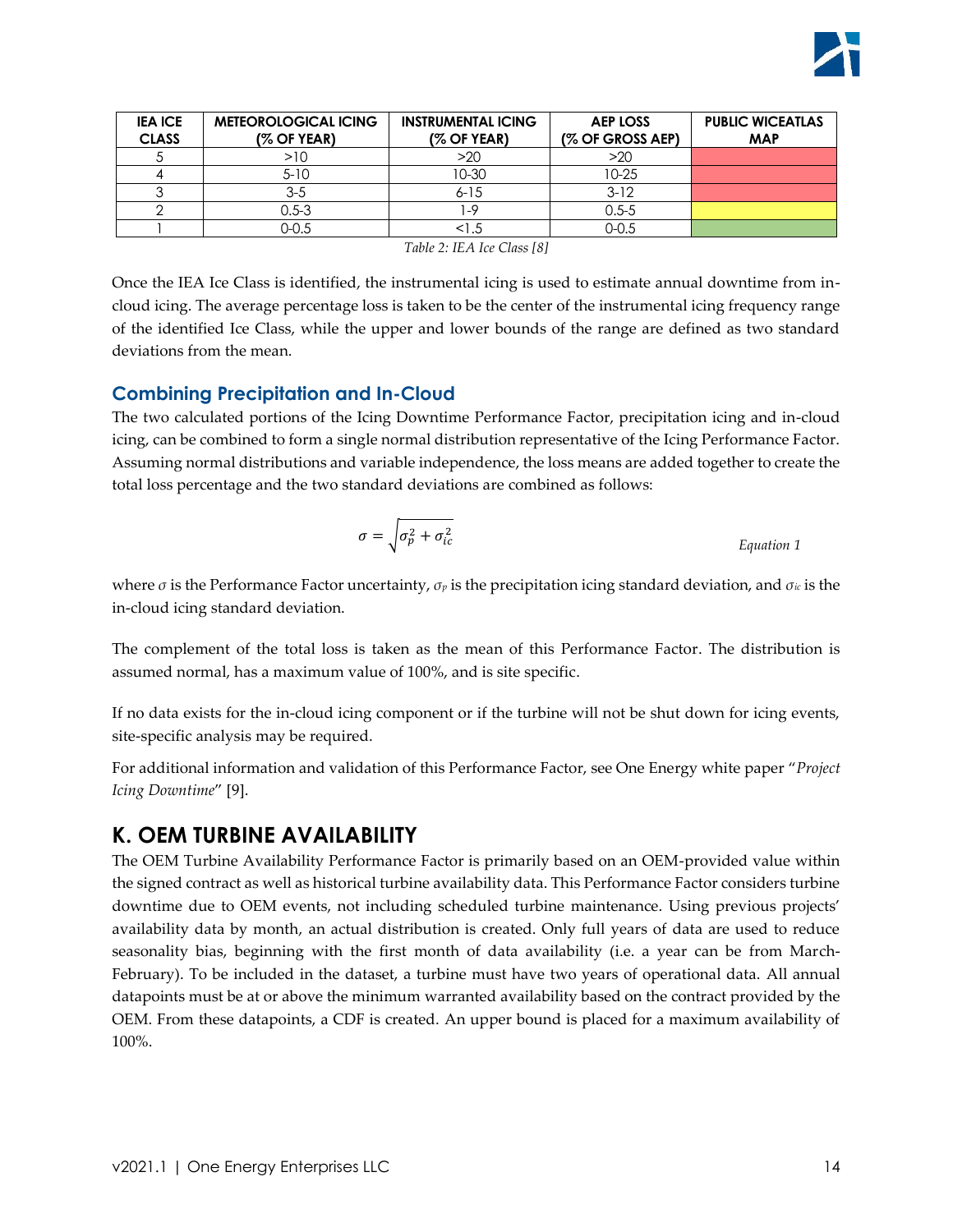

| <b>METEOROLOGICAL ICING</b> | <b>INSTRUMENTAL ICING</b> | <b>AEP LOSS</b>  | <b>PUBLIC WICEATLAS</b> |
|-----------------------------|---------------------------|------------------|-------------------------|
| $(%$ OF YEAR)               | (% OF YEAR)               | (% OF GROSS AEP) | <b>MAP</b>              |
| >10                         | $>20$                     | >20              |                         |
| $5 - 10$                    | 10-30                     | $10 - 25$        |                         |
| $3 - 5$                     | $6 - 15$                  | $3-12$           |                         |
| $0.5 - 3$                   | -9                        | $0.5 - 5$        |                         |
| 0-0.5                       | <1.5                      | 0-0.5            |                         |
|                             |                           |                  |                         |

*Table 2: IEA Ice Class [8]*

<span id="page-13-2"></span>Once the IEA Ice Class is identified, the instrumental icing is used to estimate annual downtime from incloud icing. The average percentage loss is taken to be the center of the instrumental icing frequency range of the identified Ice Class, while the upper and lower bounds of the range are defined as two standard deviations from the mean.

#### <span id="page-13-0"></span>**Combining Precipitation and In-Cloud**

The two calculated portions of the Icing Downtime Performance Factor, precipitation icing and in-cloud icing, can be combined to form a single normal distribution representative of the Icing Performance Factor. Assuming normal distributions and variable independence, the loss means are added together to create the total loss percentage and the two standard deviations are combined as follows:

$$
\sigma = \sqrt{\sigma_p^2 + \sigma_{ic}^2}
$$
 *Equation 1*

where *σ* is the Performance Factor uncertainty, *σ<sup>p</sup>* is the precipitation icing standard deviation, and *σic* is the in-cloud icing standard deviation.

The complement of the total loss is taken as the mean of this Performance Factor. The distribution is assumed normal, has a maximum value of 100%, and is site specific.

If no data exists for the in-cloud icing component or if the turbine will not be shut down for icing events, site-specific analysis may be required.

For additional information and validation of this Performance Factor, see One Energy white paper "*Project Icing Downtime*" [9].

### <span id="page-13-1"></span>**K. OEM TURBINE AVAILABILITY**

The OEM Turbine Availability Performance Factor is primarily based on an OEM-provided value within the signed contract as well as historical turbine availability data. This Performance Factor considers turbine downtime due to OEM events, not including scheduled turbine maintenance. Using previous projects' availability data by month, an actual distribution is created. Only full years of data are used to reduce seasonality bias, beginning with the first month of data availability (i.e. a year can be from March-February). To be included in the dataset, a turbine must have two years of operational data. All annual datapoints must be at or above the minimum warranted availability based on the contract provided by the OEM. From these datapoints, a CDF is created. An upper bound is placed for a maximum availability of 100%.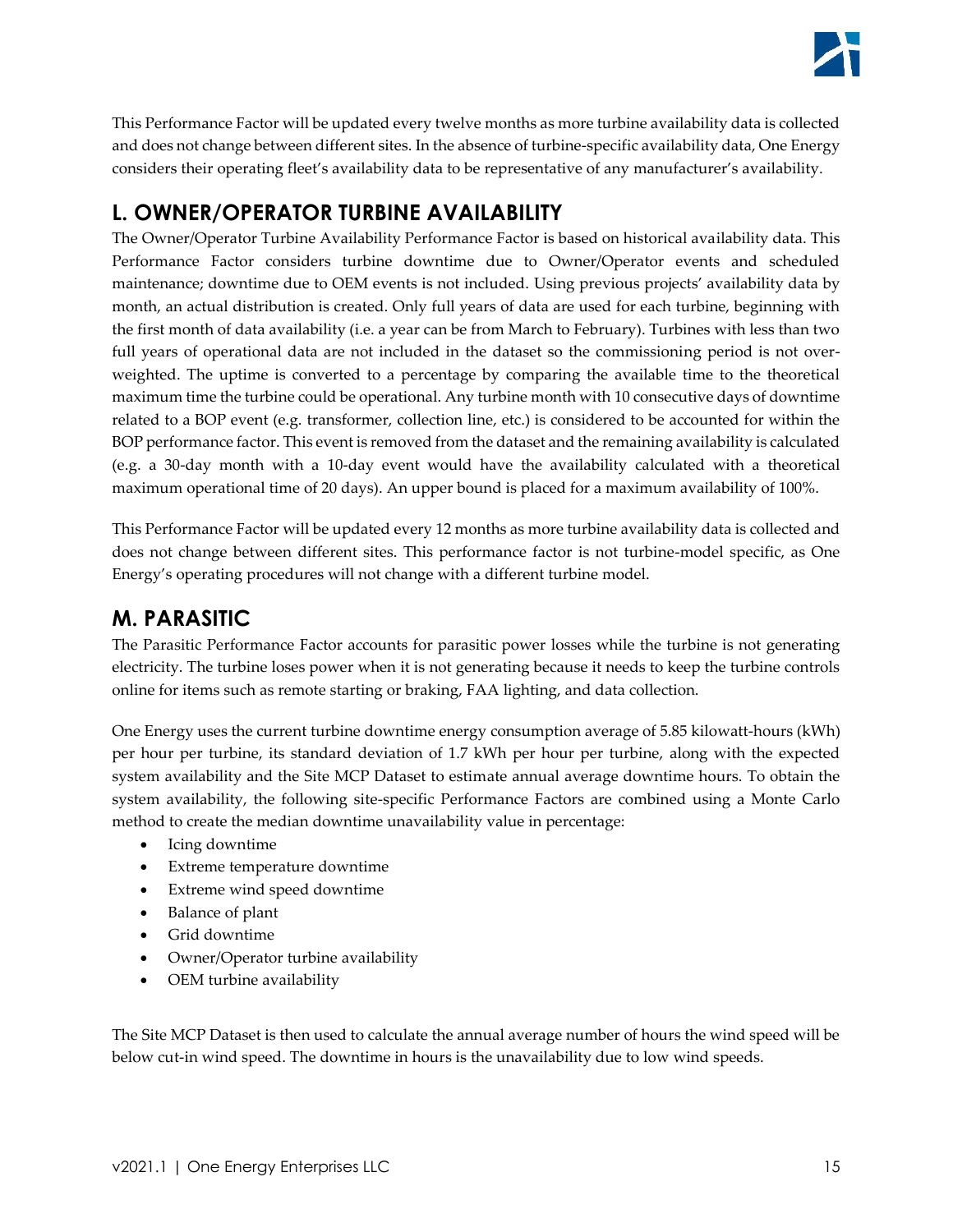

This Performance Factor will be updated every twelve months as more turbine availability data is collected and does not change between different sites. In the absence of turbine-specific availability data, One Energy considers their operating fleet's availability data to be representative of any manufacturer's availability.

## <span id="page-14-0"></span>**L. OWNER/OPERATOR TURBINE AVAILABILITY**

The Owner/Operator Turbine Availability Performance Factor is based on historical availability data. This Performance Factor considers turbine downtime due to Owner/Operator events and scheduled maintenance; downtime due to OEM events is not included. Using previous projects' availability data by month, an actual distribution is created. Only full years of data are used for each turbine, beginning with the first month of data availability (i.e. a year can be from March to February). Turbines with less than two full years of operational data are not included in the dataset so the commissioning period is not overweighted. The uptime is converted to a percentage by comparing the available time to the theoretical maximum time the turbine could be operational. Any turbine month with 10 consecutive days of downtime related to a BOP event (e.g. transformer, collection line, etc.) is considered to be accounted for within the BOP performance factor. This event is removed from the dataset and the remaining availability is calculated (e.g. a 30-day month with a 10-day event would have the availability calculated with a theoretical maximum operational time of 20 days). An upper bound is placed for a maximum availability of 100%.

This Performance Factor will be updated every 12 months as more turbine availability data is collected and does not change between different sites. This performance factor is not turbine-model specific, as One Energy's operating procedures will not change with a different turbine model.

### <span id="page-14-1"></span>**M. PARASITIC**

The Parasitic Performance Factor accounts for parasitic power losses while the turbine is not generating electricity. The turbine loses power when it is not generating because it needs to keep the turbine controls online for items such as remote starting or braking, FAA lighting, and data collection.

One Energy uses the current turbine downtime energy consumption average of 5.85 kilowatt-hours (kWh) per hour per turbine, its standard deviation of 1.7 kWh per hour per turbine, along with the expected system availability and the Site MCP Dataset to estimate annual average downtime hours. To obtain the system availability, the following site-specific Performance Factors are combined using a Monte Carlo method to create the median downtime unavailability value in percentage:

- Icing downtime
- Extreme temperature downtime
- Extreme wind speed downtime
- Balance of plant
- Grid downtime
- Owner/Operator turbine availability
- OEM turbine availability

The Site MCP Dataset is then used to calculate the annual average number of hours the wind speed will be below cut-in wind speed. The downtime in hours is the unavailability due to low wind speeds.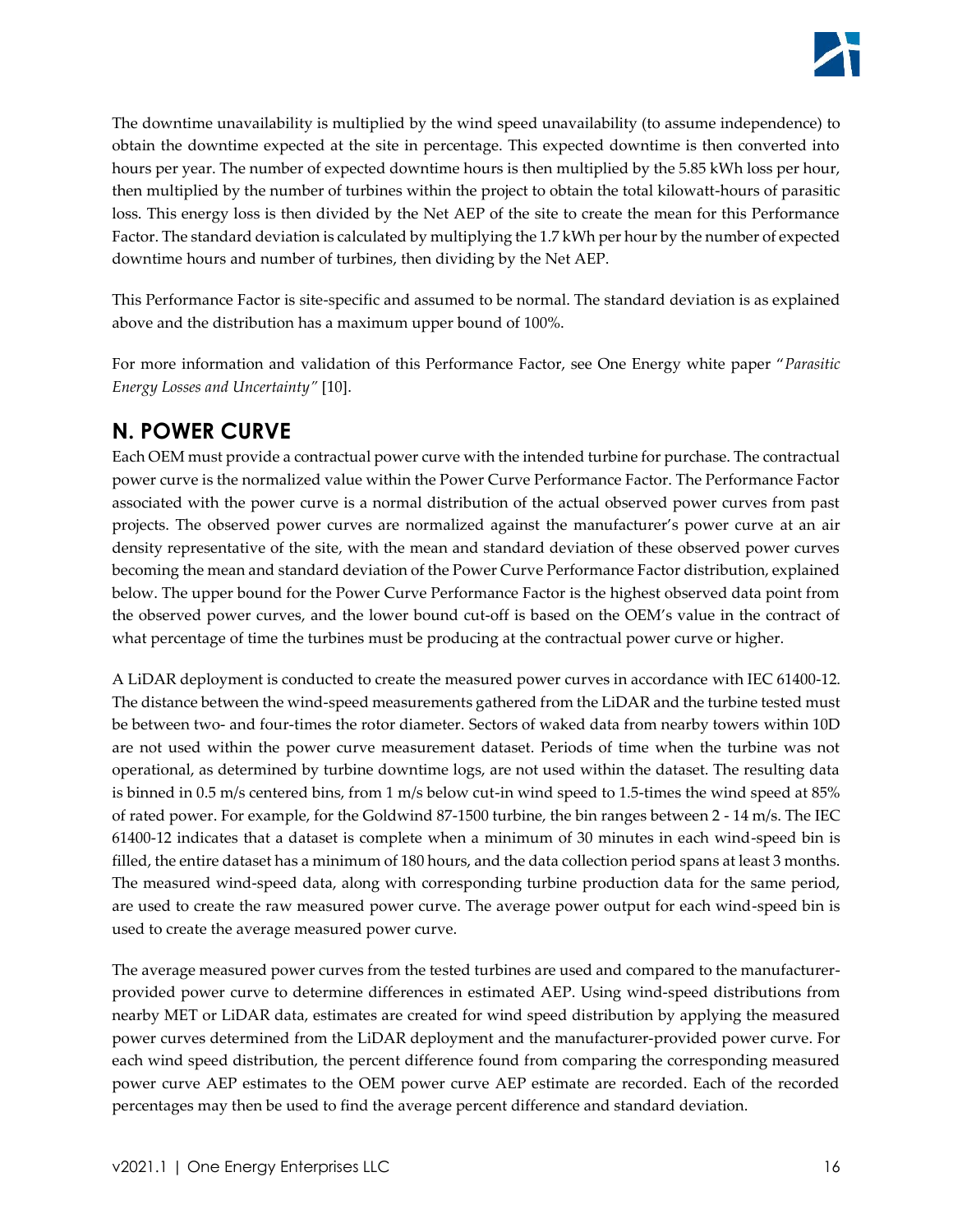

The downtime unavailability is multiplied by the wind speed unavailability (to assume independence) to obtain the downtime expected at the site in percentage. This expected downtime is then converted into hours per year. The number of expected downtime hours is then multiplied by the 5.85 kWh loss per hour, then multiplied by the number of turbines within the project to obtain the total kilowatt-hours of parasitic loss. This energy loss is then divided by the Net AEP of the site to create the mean for this Performance Factor. The standard deviation is calculated by multiplying the 1.7 kWh per hour by the number of expected downtime hours and number of turbines, then dividing by the Net AEP.

This Performance Factor is site-specific and assumed to be normal. The standard deviation is as explained above and the distribution has a maximum upper bound of 100%.

For more information and validation of this Performance Factor, see One Energy white paper "*Parasitic Energy Losses and Uncertainty"* [10].

### <span id="page-15-0"></span>**N. POWER CURVE**

Each OEM must provide a contractual power curve with the intended turbine for purchase. The contractual power curve is the normalized value within the Power Curve Performance Factor. The Performance Factor associated with the power curve is a normal distribution of the actual observed power curves from past projects. The observed power curves are normalized against the manufacturer's power curve at an air density representative of the site, with the mean and standard deviation of these observed power curves becoming the mean and standard deviation of the Power Curve Performance Factor distribution, explained below. The upper bound for the Power Curve Performance Factor is the highest observed data point from the observed power curves, and the lower bound cut-off is based on the OEM's value in the contract of what percentage of time the turbines must be producing at the contractual power curve or higher.

A LiDAR deployment is conducted to create the measured power curves in accordance with IEC 61400-12. The distance between the wind-speed measurements gathered from the LiDAR and the turbine tested must be between two- and four-times the rotor diameter. Sectors of waked data from nearby towers within 10D are not used within the power curve measurement dataset. Periods of time when the turbine was not operational, as determined by turbine downtime logs, are not used within the dataset. The resulting data is binned in 0.5 m/s centered bins, from 1 m/s below cut-in wind speed to 1.5-times the wind speed at 85% of rated power. For example, for the Goldwind 87-1500 turbine, the bin ranges between 2 - 14 m/s. The IEC 61400-12 indicates that a dataset is complete when a minimum of 30 minutes in each wind-speed bin is filled, the entire dataset has a minimum of 180 hours, and the data collection period spans at least 3 months. The measured wind-speed data, along with corresponding turbine production data for the same period, are used to create the raw measured power curve. The average power output for each wind-speed bin is used to create the average measured power curve.

The average measured power curves from the tested turbines are used and compared to the manufacturerprovided power curve to determine differences in estimated AEP. Using wind-speed distributions from nearby MET or LiDAR data, estimates are created for wind speed distribution by applying the measured power curves determined from the LiDAR deployment and the manufacturer-provided power curve. For each wind speed distribution, the percent difference found from comparing the corresponding measured power curve AEP estimates to the OEM power curve AEP estimate are recorded. Each of the recorded percentages may then be used to find the average percent difference and standard deviation.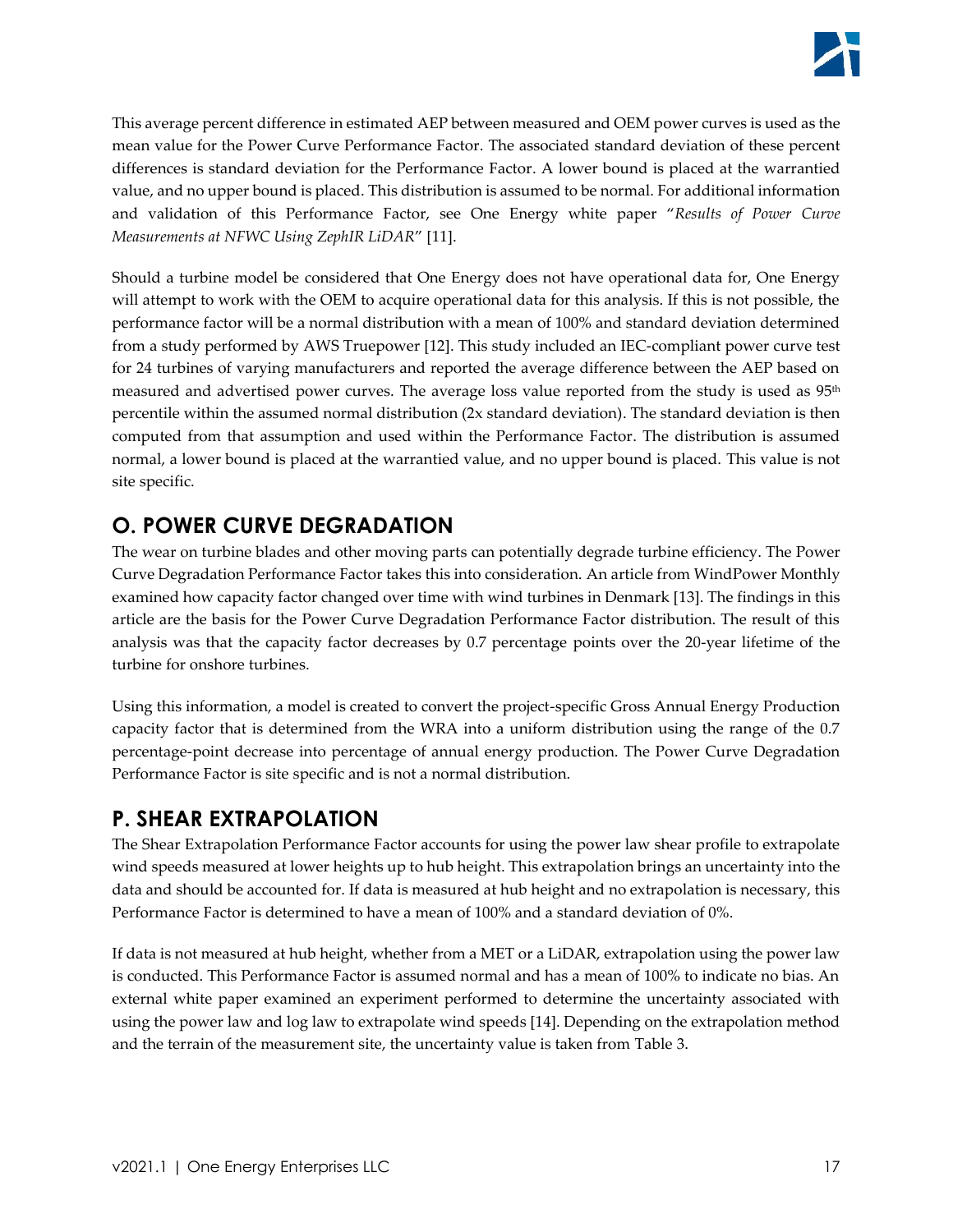This average percent difference in estimated AEP between measured and OEM power curves is used as the mean value for the Power Curve Performance Factor. The associated standard deviation of these percent differences is standard deviation for the Performance Factor. A lower bound is placed at the warrantied value, and no upper bound is placed. This distribution is assumed to be normal. For additional information and validation of this Performance Factor, see One Energy white paper "*Results of Power Curve Measurements at NFWC Using ZephIR LiDAR*" [11].

Should a turbine model be considered that One Energy does not have operational data for, One Energy will attempt to work with the OEM to acquire operational data for this analysis. If this is not possible, the performance factor will be a normal distribution with a mean of 100% and standard deviation determined from a study performed by AWS Truepower [12]. This study included an IEC-compliant power curve test for 24 turbines of varying manufacturers and reported the average difference between the AEP based on measured and advertised power curves. The average loss value reported from the study is used as 95<sup>th</sup> percentile within the assumed normal distribution (2x standard deviation). The standard deviation is then computed from that assumption and used within the Performance Factor. The distribution is assumed normal, a lower bound is placed at the warrantied value, and no upper bound is placed. This value is not site specific.

# <span id="page-16-0"></span>**O. POWER CURVE DEGRADATION**

The wear on turbine blades and other moving parts can potentially degrade turbine efficiency. The Power Curve Degradation Performance Factor takes this into consideration. An article from WindPower Monthly examined how capacity factor changed over time with wind turbines in Denmark [13]. The findings in this article are the basis for the Power Curve Degradation Performance Factor distribution. The result of this analysis was that the capacity factor decreases by 0.7 percentage points over the 20-year lifetime of the turbine for onshore turbines.

Using this information, a model is created to convert the project-specific Gross Annual Energy Production capacity factor that is determined from the WRA into a uniform distribution using the range of the 0.7 percentage-point decrease into percentage of annual energy production. The Power Curve Degradation Performance Factor is site specific and is not a normal distribution.

# <span id="page-16-1"></span>**P. SHEAR EXTRAPOLATION**

The Shear Extrapolation Performance Factor accounts for using the power law shear profile to extrapolate wind speeds measured at lower heights up to hub height. This extrapolation brings an uncertainty into the data and should be accounted for. If data is measured at hub height and no extrapolation is necessary, this Performance Factor is determined to have a mean of 100% and a standard deviation of 0%.

If data is not measured at hub height, whether from a MET or a LiDAR, extrapolation using the power law is conducted. This Performance Factor is assumed normal and has a mean of 100% to indicate no bias. An external white paper examined an experiment performed to determine the uncertainty associated with using the power law and log law to extrapolate wind speeds [14]. Depending on the extrapolation method and the terrain of the measurement site, the uncertainty value is taken from [Table 3.](#page-17-1)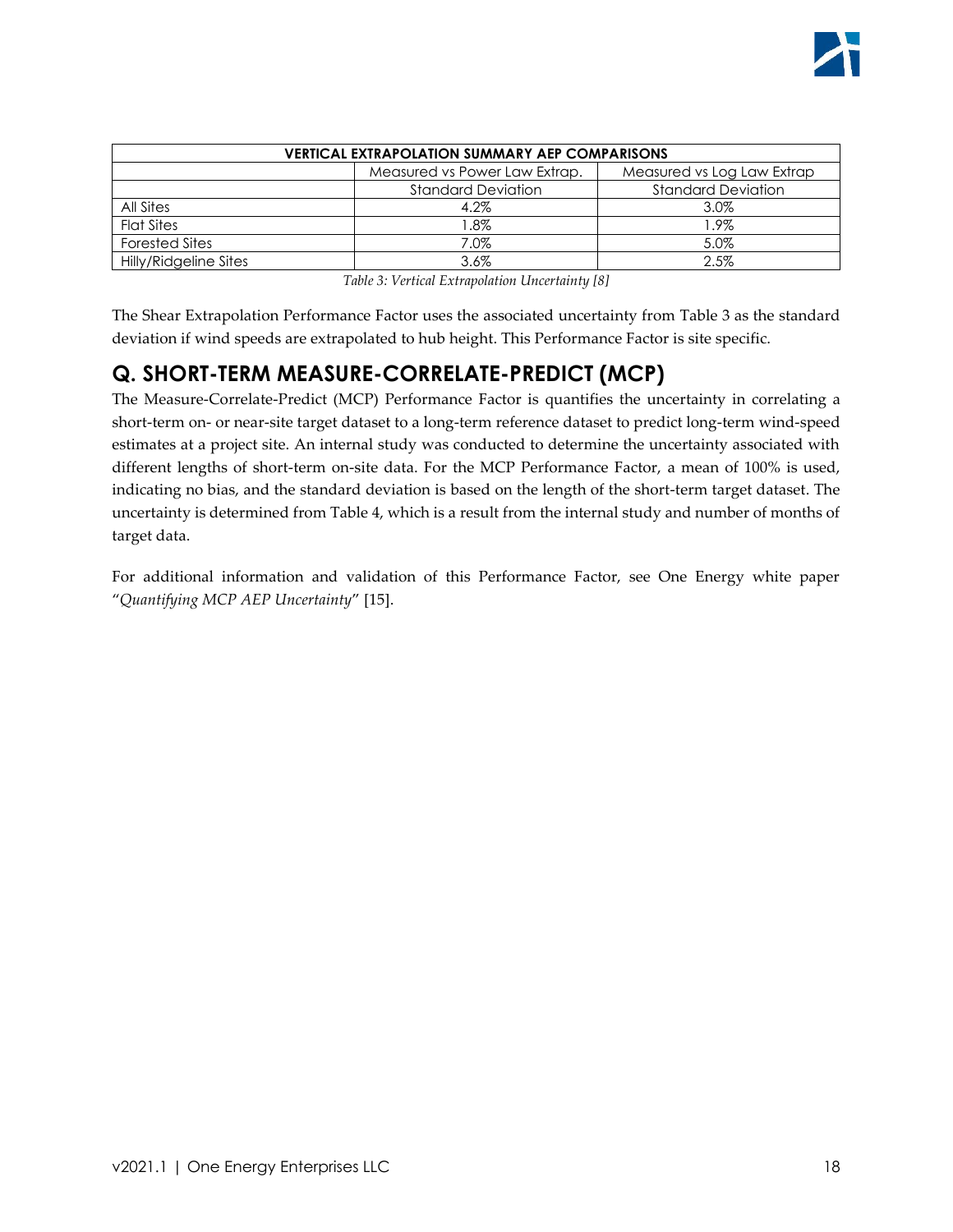| <b>VERTICAL EXTRAPOLATION SUMMARY AEP COMPARISONS</b> |                                                             |                           |  |  |
|-------------------------------------------------------|-------------------------------------------------------------|---------------------------|--|--|
|                                                       | Measured vs Power Law Extrap.<br>Measured vs Log Law Extrap |                           |  |  |
|                                                       | <b>Standard Deviation</b>                                   | <b>Standard Deviation</b> |  |  |
| All Sites                                             | 4.2%                                                        | 3.0%                      |  |  |
| <b>Flat Sites</b>                                     | $1.8\%$                                                     | l.9%                      |  |  |
| <b>Forested Sites</b>                                 | 7.0%                                                        | 5.0%                      |  |  |
| Hilly/Ridgeline Sites                                 | $3.6\%$                                                     | 2.5%                      |  |  |

*Table 3: Vertical Extrapolation Uncertainty [8]*

<span id="page-17-1"></span>The Shear Extrapolation Performance Factor uses the associated uncertainty from [Table 3](#page-17-1) as the standard deviation if wind speeds are extrapolated to hub height. This Performance Factor is site specific.

# <span id="page-17-0"></span>**Q. SHORT-TERM MEASURE-CORRELATE-PREDICT (MCP)**

The Measure-Correlate-Predict (MCP) Performance Factor is quantifies the uncertainty in correlating a short-term on- or near-site target dataset to a long-term reference dataset to predict long-term wind-speed estimates at a project site. An internal study was conducted to determine the uncertainty associated with different lengths of short-term on-site data. For the MCP Performance Factor, a mean of 100% is used, indicating no bias, and the standard deviation is based on the length of the short-term target dataset. The uncertainty is determined from [Table 4,](#page-18-2) which is a result from the internal study and number of months of target data.

For additional information and validation of this Performance Factor, see One Energy white paper "*Quantifying MCP AEP Uncertainty*" [15].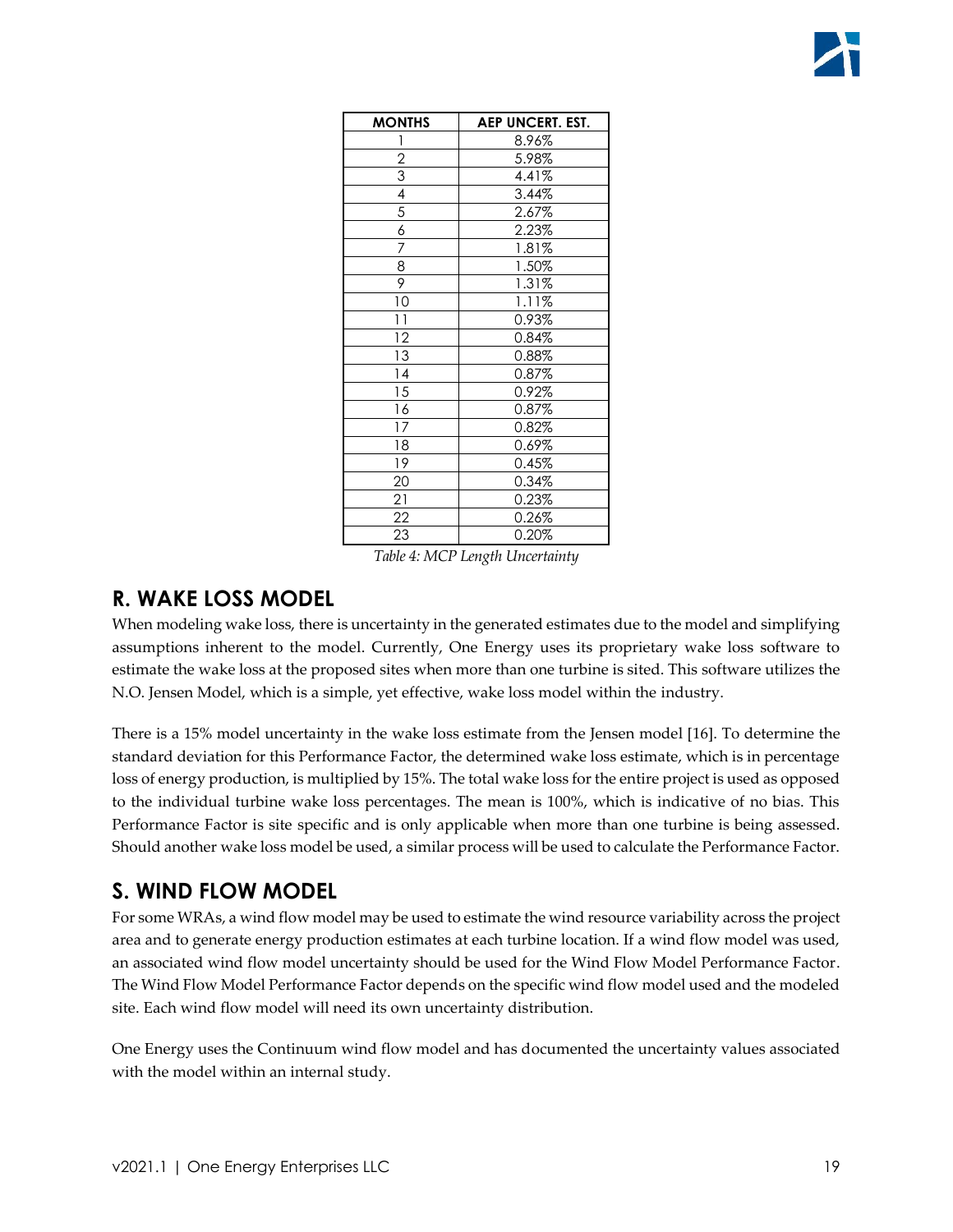| <b>MONTHS</b>   | <b>AEP UNCERT. EST.</b> |
|-----------------|-------------------------|
|                 | 8.96%                   |
| $\overline{2}$  | 5.98%                   |
| $\overline{3}$  | 4.41%                   |
| 4               | 3.44%                   |
| 5               | 2.67%                   |
| $\overline{6}$  | 2.23%                   |
| 7               | 1.81%                   |
| $\overline{8}$  | 1.50%                   |
| 9               | 1.31%                   |
| 10              | 1.11%                   |
| $\overline{11}$ | 0.93%                   |
| 12              | $0.84\%$                |
| 13              | 0.88%                   |
| 4               | 0.87%                   |
| 15              | 0.92%                   |
| 16              | 0.87%                   |
| 17              | 0.82%                   |
| 18              | 0.69%                   |
| 19              | 0.45%                   |
| 20              | 0.34%                   |
| 21              | 0.23%                   |
| $\overline{22}$ | 0.26%                   |
| 23              | 0.20%                   |

*Table 4: MCP Length Uncertainty*

### <span id="page-18-2"></span><span id="page-18-0"></span>**R. WAKE LOSS MODEL**

When modeling wake loss, there is uncertainty in the generated estimates due to the model and simplifying assumptions inherent to the model. Currently, One Energy uses its proprietary wake loss software to estimate the wake loss at the proposed sites when more than one turbine is sited. This software utilizes the N.O. Jensen Model, which is a simple, yet effective, wake loss model within the industry.

There is a 15% model uncertainty in the wake loss estimate from the Jensen model [16]. To determine the standard deviation for this Performance Factor, the determined wake loss estimate, which is in percentage loss of energy production, is multiplied by 15%. The total wake loss for the entire project is used as opposed to the individual turbine wake loss percentages. The mean is 100%, which is indicative of no bias. This Performance Factor is site specific and is only applicable when more than one turbine is being assessed. Should another wake loss model be used, a similar process will be used to calculate the Performance Factor.

### <span id="page-18-1"></span>**S. WIND FLOW MODEL**

For some WRAs, a wind flow model may be used to estimate the wind resource variability across the project area and to generate energy production estimates at each turbine location. If a wind flow model was used, an associated wind flow model uncertainty should be used for the Wind Flow Model Performance Factor. The Wind Flow Model Performance Factor depends on the specific wind flow model used and the modeled site. Each wind flow model will need its own uncertainty distribution.

One Energy uses the Continuum wind flow model and has documented the uncertainty values associated with the model within an internal study.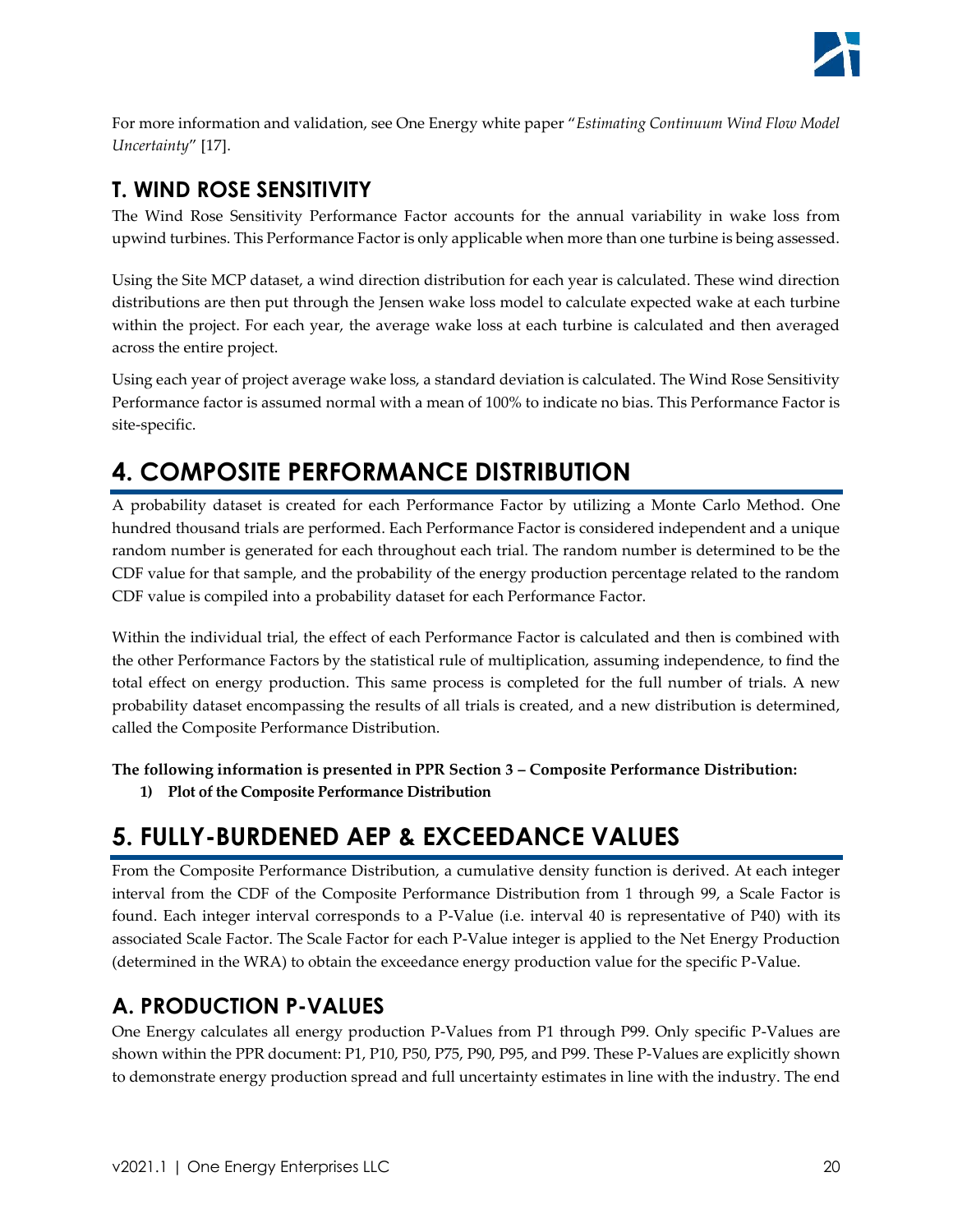

For more information and validation, see One Energy white paper "*Estimating Continuum Wind Flow Model Uncertainty*" [17].

### <span id="page-19-0"></span>**T. WIND ROSE SENSITIVITY**

The Wind Rose Sensitivity Performance Factor accounts for the annual variability in wake loss from upwind turbines. This Performance Factor is only applicable when more than one turbine is being assessed.

Using the Site MCP dataset, a wind direction distribution for each year is calculated. These wind direction distributions are then put through the Jensen wake loss model to calculate expected wake at each turbine within the project. For each year, the average wake loss at each turbine is calculated and then averaged across the entire project.

Using each year of project average wake loss, a standard deviation is calculated. The Wind Rose Sensitivity Performance factor is assumed normal with a mean of 100% to indicate no bias. This Performance Factor is site-specific.

# <span id="page-19-1"></span>**4. COMPOSITE PERFORMANCE DISTRIBUTION**

A probability dataset is created for each Performance Factor by utilizing a Monte Carlo Method. One hundred thousand trials are performed. Each Performance Factor is considered independent and a unique random number is generated for each throughout each trial. The random number is determined to be the CDF value for that sample, and the probability of the energy production percentage related to the random CDF value is compiled into a probability dataset for each Performance Factor.

Within the individual trial, the effect of each Performance Factor is calculated and then is combined with the other Performance Factors by the statistical rule of multiplication, assuming independence, to find the total effect on energy production. This same process is completed for the full number of trials. A new probability dataset encompassing the results of all trials is created, and a new distribution is determined, called the Composite Performance Distribution.

**The following information is presented in PPR Section 3 – Composite Performance Distribution:**

**1) Plot of the Composite Performance Distribution**

# <span id="page-19-2"></span>**5. FULLY-BURDENED AEP & EXCEEDANCE VALUES**

From the Composite Performance Distribution, a cumulative density function is derived. At each integer interval from the CDF of the Composite Performance Distribution from 1 through 99, a Scale Factor is found. Each integer interval corresponds to a P-Value (i.e. interval 40 is representative of P40) with its associated Scale Factor. The Scale Factor for each P-Value integer is applied to the Net Energy Production (determined in the WRA) to obtain the exceedance energy production value for the specific P-Value.

# <span id="page-19-3"></span>**A. PRODUCTION P-VALUES**

One Energy calculates all energy production P-Values from P1 through P99. Only specific P-Values are shown within the PPR document: P1, P10, P50, P75, P90, P95, and P99. These P-Values are explicitly shown to demonstrate energy production spread and full uncertainty estimates in line with the industry. The end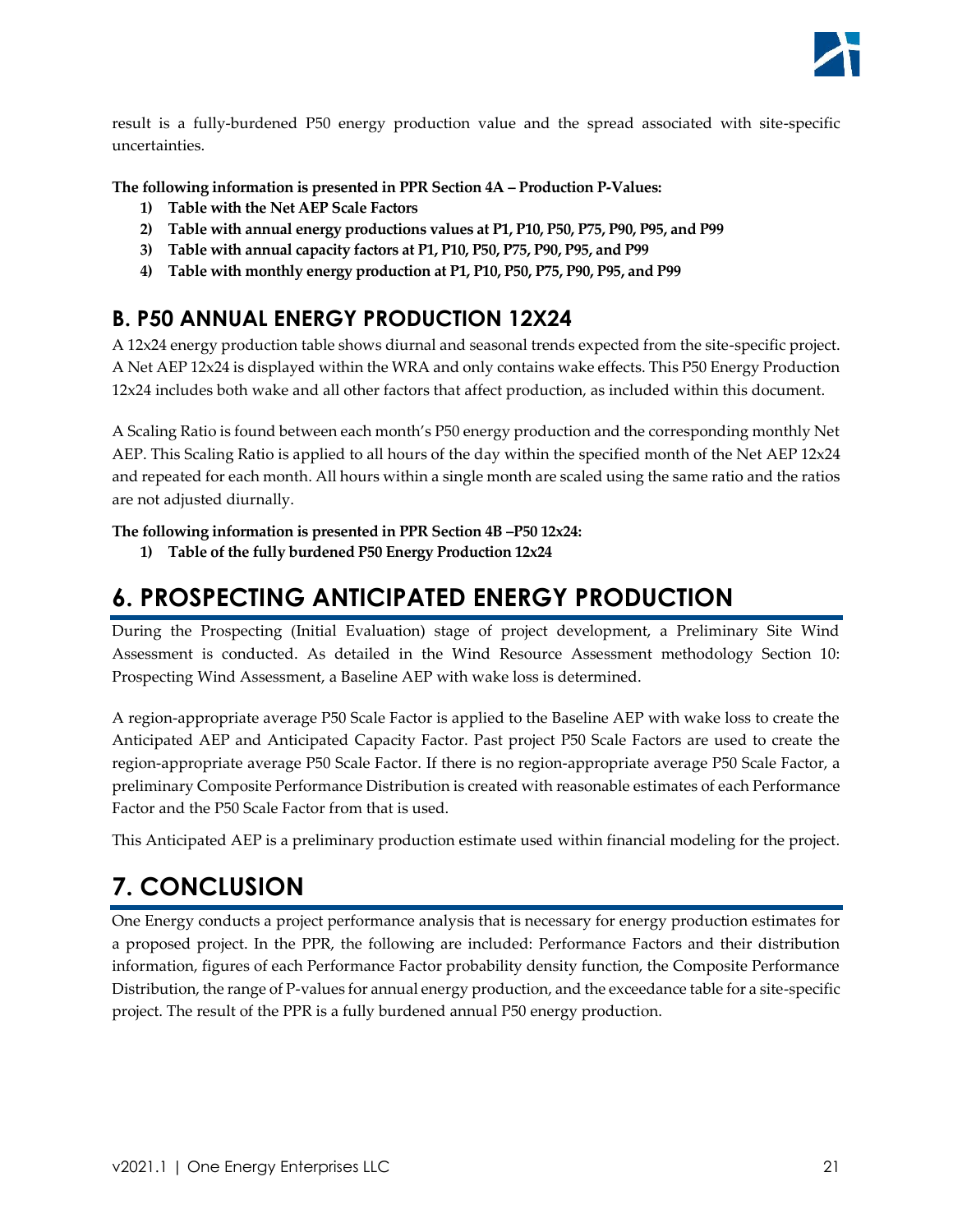

result is a fully-burdened P50 energy production value and the spread associated with site-specific uncertainties.

**The following information is presented in PPR Section 4A – Production P-Values:**

- **1) Table with the Net AEP Scale Factors**
- **2) Table with annual energy productions values at P1, P10, P50, P75, P90, P95, and P99**
- **3) Table with annual capacity factors at P1, P10, P50, P75, P90, P95, and P99**
- **4) Table with monthly energy production at P1, P10, P50, P75, P90, P95, and P99**

### <span id="page-20-0"></span>**B. P50 ANNUAL ENERGY PRODUCTION 12X24**

A 12x24 energy production table shows diurnal and seasonal trends expected from the site-specific project. A Net AEP 12x24 is displayed within the WRA and only contains wake effects. This P50 Energy Production 12x24 includes both wake and all other factors that affect production, as included within this document.

A Scaling Ratio is found between each month's P50 energy production and the corresponding monthly Net AEP. This Scaling Ratio is applied to all hours of the day within the specified month of the Net AEP 12x24 and repeated for each month. All hours within a single month are scaled using the same ratio and the ratios are not adjusted diurnally.

**The following information is presented in PPR Section 4B –P50 12x24:**

**1) Table of the fully burdened P50 Energy Production 12x24** 

# <span id="page-20-1"></span>**6. PROSPECTING ANTICIPATED ENERGY PRODUCTION**

During the Prospecting (Initial Evaluation) stage of project development, a Preliminary Site Wind Assessment is conducted. As detailed in the Wind Resource Assessment methodology Section 10: Prospecting Wind Assessment, a Baseline AEP with wake loss is determined.

A region-appropriate average P50 Scale Factor is applied to the Baseline AEP with wake loss to create the Anticipated AEP and Anticipated Capacity Factor. Past project P50 Scale Factors are used to create the region-appropriate average P50 Scale Factor. If there is no region-appropriate average P50 Scale Factor, a preliminary Composite Performance Distribution is created with reasonable estimates of each Performance Factor and the P50 Scale Factor from that is used.

This Anticipated AEP is a preliminary production estimate used within financial modeling for the project.

# <span id="page-20-2"></span>**7. CONCLUSION**

One Energy conducts a project performance analysis that is necessary for energy production estimates for a proposed project. In the PPR, the following are included: Performance Factors and their distribution information, figures of each Performance Factor probability density function, the Composite Performance Distribution, the range of P-values for annual energy production, and the exceedance table for a site-specific project. The result of the PPR is a fully burdened annual P50 energy production.